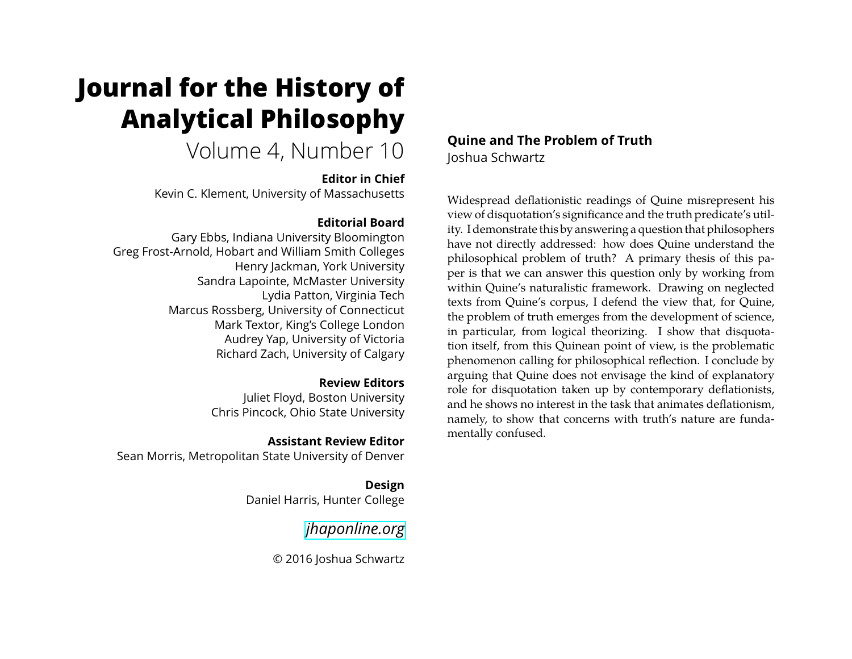# **Journal for the History of Analytical Philosophy**

# Volume 4, Number 10

#### **Editor in Chief**

Kevin C. Klement, University of Massachusetts

### **Editorial Board**

Gary Ebbs, Indiana University Bloomington Greg Frost-Arnold, Hobart and William Smith Colleges Henry Jackman, York University Sandra Lapointe, McMaster University Lydia Patton, Virginia Tech Marcus Rossberg, University of Connecticut Mark Textor, King's College London Audrey Yap, University of Victoria Richard Zach, University of Calgary

#### **Review Editors**

Juliet Floyd, Boston University Chris Pincock, Ohio State University

#### **Assistant Review Editor**

Sean Morris, Metropolitan State University of Denver

**Design** Daniel Harris, Hunter College

*[jhaponline.org](https://jhaponline.org)*

© 2016 Joshua Schwartz

# **Quine and The Problem of Truth** Joshua Schwartz

Widespread deflationistic readings of Quine misrepresent his view of disquotation's significance and the truth predicate's utility. I demonstrate this by answering a question that philosophers have not directly addressed: how does Quine understand the philosophical problem of truth? A primary thesis of this paper is that we can answer this question only by working from within Quine's naturalistic framework. Drawing on neglected texts from Quine's corpus, I defend the view that, for Quine, the problem of truth emerges from the development of science, in particular, from logical theorizing. I show that disquotation itself, from this Quinean point of view, is the problematic phenomenon calling for philosophical reflection. I conclude by arguing that Quine does not envisage the kind of explanatory role for disquotation taken up by contemporary deflationists, and he shows no interest in the task that animates deflationism, namely, to show that concerns with truth's nature are fundamentally confused.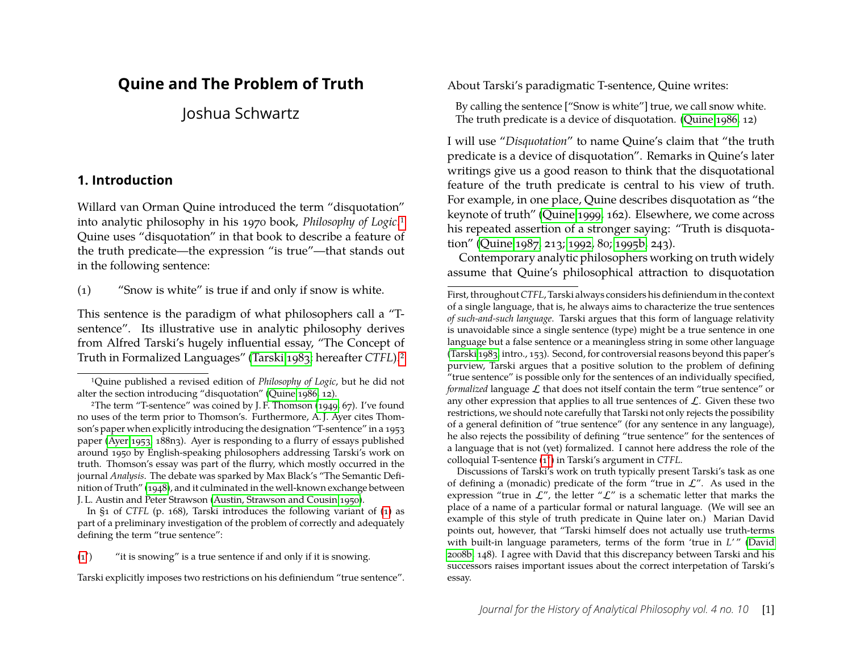# **Quine and The Problem of Truth**

Joshua Schwartz

#### <span id="page-1-5"></span>**1. Introduction**

Willard van Orman Quine introduced the term "disquotation" into analytic philosophy in his 1970 book, *Philosophy of Logic*[.1](#page-1-0) Quine uses "disquotation" in that book to describe a feature of the truth predicate—the expression "is true"—that stands out in the following sentence:

<span id="page-1-3"></span><span id="page-1-2"></span>(1) "Snow is white" is true if and only if snow is white.

This sentence is the paradigm of what philosophers call a "Tsentence". Its illustrative use in analytic philosophy derives from Alfred Tarski's hugely influential essay, "The Concept of Truth in Formalized Languages" [\(Tarski 1983;](#page-25-0) hereafter *CTFL*)[.2](#page-1-1)

<span id="page-1-4"></span> $(1^*)$  $(1^*)$ ) "it is snowing" is a true sentence if and only if it is snowing.

Tarski explicitly imposes two restrictions on his definiendum "true sentence".

About Tarski's paradigmatic T-sentence, Quine writes:

By calling the sentence ["Snow is white"] true, we call snow white. The truth predicate is a device of disquotation. [\(Quine 1986,](#page-25-1) 12)

I will use "*Disquotation*" to name Quine's claim that "the truth predicate is a device of disquotation". Remarks in Quine's later writings give us a good reason to think that the disquotational feature of the truth predicate is central to his view of truth. For example, in one place, Quine describes disquotation as "the keynote of truth" [\(Quine 1999,](#page-25-3) 162). Elsewhere, we come across his repeated assertion of a stronger saying: "Truth is disquotation" [\(Quine 1987,](#page-25-4) 213; [1992,](#page-25-5) 80; [1995b,](#page-25-6) 243).

Contemporary analytic philosophers working on truth widely assume that Quine's philosophical attraction to disquotation

Discussions of Tarski's work on truth typically present Tarski's task as one of defining a (monadic) predicate of the form "true in  $\mathcal{L}$ ". As used in the expression "true in  $\mathcal{L}''$ , the letter " $\mathcal{L}''$  is a schematic letter that marks the place of a name of a particular formal or natural language. (We will see an example of this style of truth predicate in Quine later on.) Marian David points out, however, that "Tarski himself does not actually use truth-terms with built-in language parameters, terms of the form 'true in *L'*" [\(David](#page-23-3) [2008b,](#page-23-3) 148). I agree with David that this discrepancy between Tarski and his successors raises important issues about the correct interpetation of Tarski's essay.

<span id="page-1-0"></span><sup>1</sup>Quine published a revised edition of *Philosophy of Logic*, but he did not alter the section introducing "disquotation" [\(Quine 1986,](#page-25-1) 12).

<span id="page-1-1"></span><sup>2</sup>The term "T-sentence" was coined by J. F. Thomson [\(1949,](#page-25-2) 67). I've found no uses of the term prior to Thomson's. Furthermore, A. J. Ayer cites Thomson's paper when explicitly introducing the designation "T-sentence" in a 1953 paper [\(Ayer 1953,](#page-23-0) 188n3). Ayer is responding to a flurry of essays published around 1950 by English-speaking philosophers addressing Tarski's work on truth. Thomson's essay was part of the flurry, which mostly occurred in the journal *Analysis*. The debate was sparked by Max Black's "The Semantic Definition of Truth" [\(1948\)](#page-23-1), and it culminated in the well-known exchange between J. L. Austin and Peter Strawson [\(Austin, Strawson and Cousin 1950\)](#page-23-2).

In §1 of *CTFL* (p. 168), Tarski introduces the following variant of [\(1\)](#page-1-2) as part of a preliminary investigation of the problem of correctly and adequately defining the term "true sentence":

First, throughout*CTFL*, Tarski always considers his definiendum in the context of a single language, that is, he always aims to characterize the true sentences *of such-and-such language*. Tarski argues that this form of language relativity is unavoidable since a single sentence (type) might be a true sentence in one language but a false sentence or a meaningless string in some other language [\(Tarski 1983,](#page-25-0) intro., 153). Second, for controversial reasons beyond this paper's purview, Tarski argues that a positive solution to the problem of defining "true sentence" is possible only for the sentences of an individually specified, *formalized* language  $\mathcal L$  that does not itself contain the term "true sentence" or any other expression that applies to all true sentences of  $\mathcal{L}$ . Given these two restrictions, we should note carefully that Tarski not only rejects the possibility of a general definition of "true sentence" (for any sentence in any language), he also rejects the possibility of defining "true sentence" for the sentences of a language that is not (yet) formalized. I cannot here address the role of the colloquial T-sentence [\(1](#page-1-4)<sup>∗</sup> ) in Tarski's argument in *CTFL*.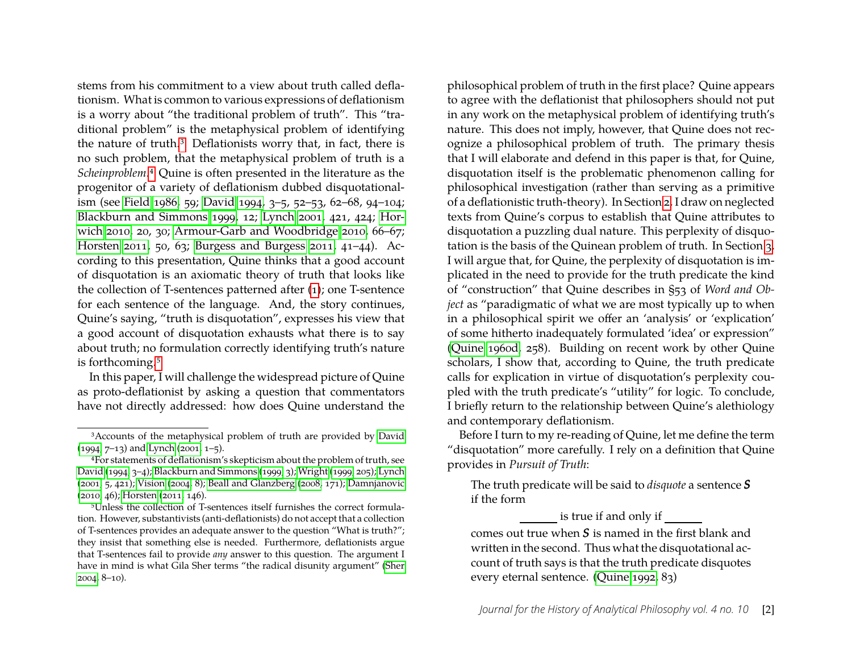stems from his commitment to a view about truth called deflationism. What is common to various expressions of deflationism is a worry about "the traditional problem of truth". This "traditional problem" is the metaphysical problem of identifying the nature of truth[.3](#page-2-0) Deflationists worry that, in fact, there is no such problem, that the metaphysical problem of truth is a *Scheinproblem*[.4](#page-2-1) Quine is often presented in the literature as the progenitor of a variety of deflationism dubbed disquotationalism (see [Field 1986,](#page-23-4) 59; [David 1994,](#page-23-5) 3–5, 52–53, 62–68, 94–104; [Blackburn and Simmons 1999,](#page-23-6) 12; [Lynch 2001,](#page-24-0) 421, 424; [Hor](#page-24-1)[wich 2010,](#page-24-1) 20, 30; [Armour-Garb and Woodbridge 2010,](#page-23-7) 66–67; [Horsten 2011,](#page-24-2) 50, 63; [Burgess and Burgess 2011,](#page-23-8) 41–44). According to this presentation, Quine thinks that a good account of disquotation is an axiomatic theory of truth that looks like the collection of T-sentences patterned after [\(1\)](#page-1-2); one T-sentence for each sentence of the language. And, the story continues, Quine's saying, "truth is disquotation", expresses his view that a good account of disquotation exhausts what there is to say about truth; no formulation correctly identifying truth's nature is forthcoming[.5](#page-2-2)

In this paper, I will challenge the widespread picture of Quine as proto-deflationist by asking a question that commentators have not directly addressed: how does Quine understand the

<span id="page-2-2"></span>5Unless the collection of T-sentences itself furnishes the correct formulation. However, substantivists (anti-deflationists) do not accept that a collection of T-sentences provides an adequate answer to the question "What is truth?"; they insist that something else is needed. Furthermore, deflationists argue that T-sentences fail to provide *any* answer to this question. The argument I have in mind is what Gila Sher terms "the radical disunity argument" [\(Sher](#page-25-9) [2004,](#page-25-9) 8–10).

philosophical problem of truth in the first place? Quine appears to agree with the deflationist that philosophers should not put in any work on the metaphysical problem of identifying truth's nature. This does not imply, however, that Quine does not recognize a philosophical problem of truth. The primary thesis that I will elaborate and defend in this paper is that, for Quine, disquotation itself is the problematic phenomenon calling for philosophical investigation (rather than serving as a primitive of a deflationistic truth-theory). In Section [2,](#page-3-0) I draw on neglected texts from Quine's corpus to establish that Quine attributes to disquotation a puzzling dual nature. This perplexity of disquotation is the basis of the Quinean problem of truth. In Section [3,](#page-9-0) I will argue that, for Quine, the perplexity of disquotation is implicated in the need to provide for the truth predicate the kind of "construction" that Quine describes in §53 of *Word and Object* as "paradigmatic of what we are most typically up to when in a philosophical spirit we offer an 'analysis' or 'explication' of some hitherto inadequately formulated 'idea' or expression" [\(Quine 1960d,](#page-24-3) 258). Building on recent work by other Quine scholars, I show that, according to Quine, the truth predicate calls for explication in virtue of disquotation's perplexity coupled with the truth predicate's "utility" for logic. To conclude, I briefly return to the relationship between Quine's alethiology and contemporary deflationism.

Before I turn to my re-reading of Quine, let me define the term "disquotation" more carefully. I rely on a definition that Quine provides in *Pursuit of Truth*:

The truth predicate will be said to *disquote* a sentence *S* if the form

is true if and only if

comes out true when *S* is named in the first blank and written in the second. Thus what the disquotational account of truth says is that the truth predicate disquotes every eternal sentence. [\(Quine 1992,](#page-25-5) 83)

<span id="page-2-0"></span><sup>3</sup>Accounts of the metaphysical problem of truth are provided by [David](#page-23-5) [\(1994,](#page-23-5) 7–13) and [Lynch](#page-24-0) [\(2001,](#page-24-0) 1–5).

<span id="page-2-1"></span><sup>4</sup>For statements of deflationism's skepticism about the problem of truth, see [David](#page-23-5) [\(1994,](#page-23-5) 3–4); [Blackburn and Simmons](#page-23-6) [\(1999,](#page-23-6) 3); [Wright](#page-25-7) [\(1999,](#page-25-7) 205); [Lynch](#page-24-0) [\(2001,](#page-24-0) 5, 421); [Vision](#page-25-8) [\(2004,](#page-25-8) 8); [Beall and Glanzberg](#page-23-9) [\(2008,](#page-23-9) 171); [Damnjanovic](#page-23-10) [\(2010,](#page-23-10) 46); [Horsten](#page-24-2) [\(2011,](#page-24-2) 146).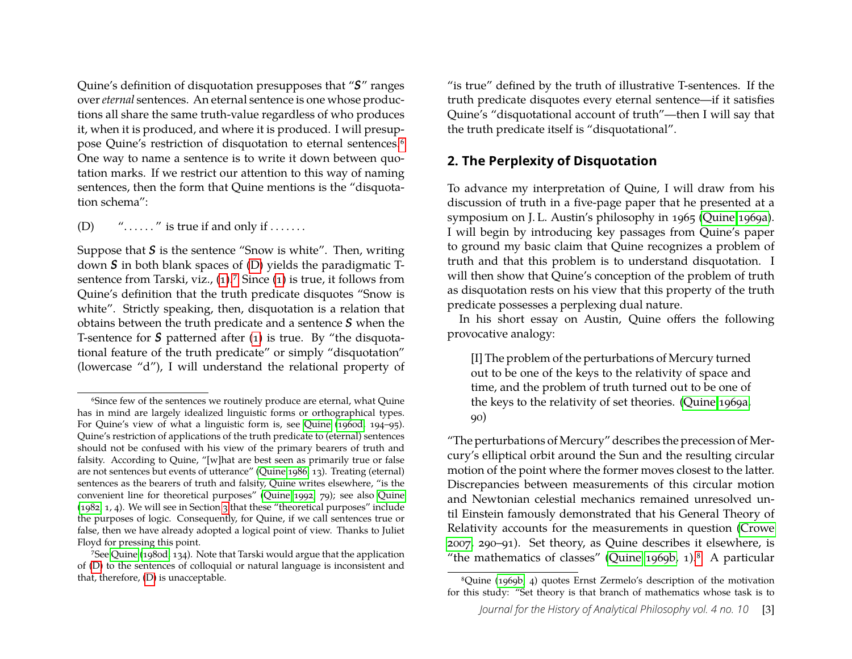Quine's definition of disquotation presupposes that "*S*" ranges over*eternal* sentences. An eternal sentence is one whose productions all share the same truth-value regardless of who produces it, when it is produced, and where it is produced. I will presuppose Quine's restriction of disquotation to eternal sentences[.6](#page-3-1) One way to name a sentence is to write it down between quotation marks. If we restrict our attention to this way of naming sentences, then the form that Quine mentions is the "disquotation schema":

<span id="page-3-2"></span>(D)  $"$ ......" is true if and only if .......

Suppose that *S* is the sentence "Snow is white". Then, writing down *S* in both blank spaces of [\(D\)](#page-3-2) yields the paradigmatic T-sentence from Tarski, viz., [\(1\)](#page-1-2).<sup>7</sup> Since (1) is true, it follows from Quine's definition that the truth predicate disquotes "Snow is white". Strictly speaking, then, disquotation is a relation that obtains between the truth predicate and a sentence *S* when the T-sentence for *S* patterned after [\(1\)](#page-1-2) is true. By "the disquotational feature of the truth predicate" or simply "disquotation" (lowercase "d"), I will understand the relational property of "is true" defined by the truth of illustrative T-sentences. If the truth predicate disquotes every eternal sentence—if it satisfies Quine's "disquotational account of truth"—then I will say that the truth predicate itself is "disquotational".

#### <span id="page-3-0"></span>**2. The Perplexity of Disquotation**

To advance my interpretation of Quine, I will draw from his discussion of truth in a five-page paper that he presented at a symposium on J. L. Austin's philosophy in 1965 [\(Quine 1969a\)](#page-24-4). I will begin by introducing key passages from Quine's paper to ground my basic claim that Quine recognizes a problem of truth and that this problem is to understand disquotation. I will then show that Quine's conception of the problem of truth as disquotation rests on his view that this property of the truth predicate possesses a perplexing dual nature.

In his short essay on Austin, Quine offers the following provocative analogy:

<span id="page-3-5"></span>[I] The problem of the perturbations of Mercury turned out to be one of the keys to the relativity of space and time, and the problem of truth turned out to be one of the keys to the relativity of set theories. [\(Quine 1969a,](#page-24-4) 90)

"The perturbations of Mercury" describes the precession of Mercury's elliptical orbit around the Sun and the resulting circular motion of the point where the former moves closest to the latter. Discrepancies between measurements of this circular motion and Newtonian celestial mechanics remained unresolved until Einstein famously demonstrated that his General Theory of Relativity accounts for the measurements in question [\(Crowe](#page-23-11) [2007,](#page-23-11) 290–91). Set theory, as Quine describes it elsewhere, is "the mathematics of classes" [\(Quine 1969b,](#page-24-5) 1). $8$  A particular

<span id="page-3-1"></span><sup>6</sup>Since few of the sentences we routinely produce are eternal, what Quine has in mind are largely idealized linguistic forms or orthographical types. For Quine's view of what a linguistic form is, see [Quine](#page-24-3) [\(1960d,](#page-24-3) 194–95). Quine's restriction of applications of the truth predicate to (eternal) sentences should not be confused with his view of the primary bearers of truth and falsity. According to Quine, "[w]hat are best seen as primarily true or false are not sentences but events of utterance" [\(Quine 1986,](#page-25-1) 13). Treating (eternal) sentences as the bearers of truth and falsity, Quine writes elsewhere, "is the convenient line for theoretical purposes" [\(Quine 1992,](#page-25-5) 79); see also [Quine](#page-25-10) [\(1982,](#page-25-10) 1, 4). We will see in Section [3](#page-9-0) that these "theoretical purposes" include the purposes of logic. Consequently, for Quine, if we call sentences true or false, then we have already adopted a logical point of view. Thanks to Juliet Floyd for pressing this point.

<span id="page-3-3"></span><sup>&</sup>lt;sup>7</sup>See [Quine](#page-25-11) [\(1980d,](#page-25-11) 134). Note that Tarski would argue that the application of [\(D\)](#page-3-2) to the sentences of colloquial or natural language is inconsistent and that, therefore, [\(D\)](#page-3-2) is unacceptable.

<span id="page-3-4"></span><sup>8</sup>Quine [\(1969b,](#page-24-5) 4) quotes Ernst Zermelo's description of the motivation for this study: "Set theory is that branch of mathematics whose task is to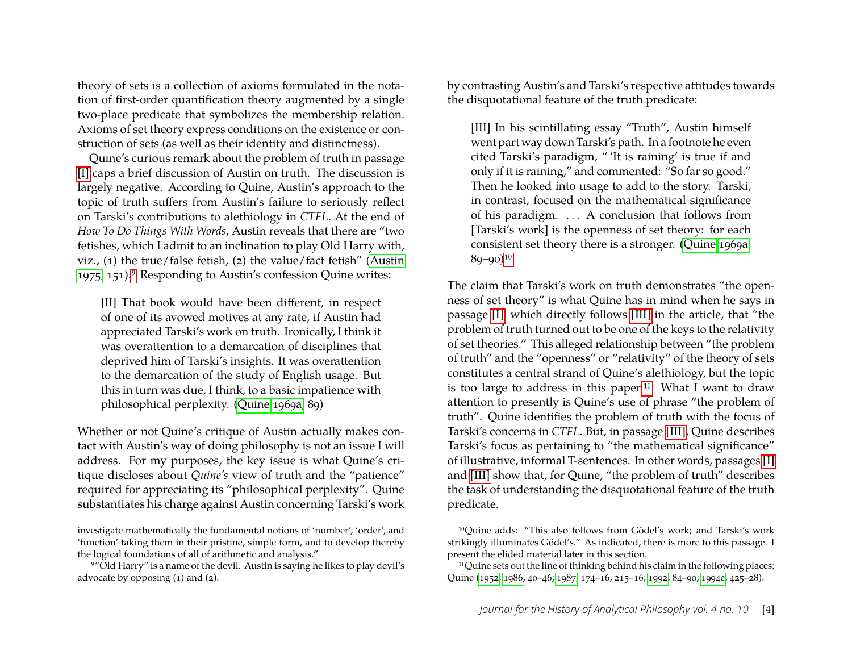theory of sets is a collection of axioms formulated in the notation of first-order quantification theory augmented by a single two-place predicate that symbolizes the membership relation. Axioms of set theory express conditions on the existence or construction of sets (as well as their identity and distinctness).

Quine's curious remark about the problem of truth in passage [\[I\]](#page-3-5) caps a brief discussion of Austin on truth. The discussion is largely negative. According to Quine, Austin's approach to the topic of truth suffers from Austin's failure to seriously reflect on Tarski's contributions to alethiology in *CTFL*. At the end of *How To Do Things With Words*, Austin reveals that there are "two fetishes, which I admit to an inclination to play Old Harry with, viz., (1) the true/false fetish, (2) the value/fact fetish" [\(Austin](#page-23-12) [1975,](#page-23-12) 151)[.9](#page-4-0) Responding to Austin's confession Quine writes:

[II] That book would have been different, in respect of one of its avowed motives at any rate, if Austin had appreciated Tarski's work on truth. Ironically, I think it was overattention to a demarcation of disciplines that deprived him of Tarski's insights. It was overattention to the demarcation of the study of English usage. But this in turn was due, I think, to a basic impatience with philosophical perplexity. [\(Quine 1969a,](#page-24-4) 89)

Whether or not Quine's critique of Austin actually makes contact with Austin's way of doing philosophy is not an issue I will address. For my purposes, the key issue is what Quine's critique discloses about *Quine's* view of truth and the "patience" required for appreciating its "philosophical perplexity". Quine substantiates his charge against Austin concerning Tarski's work by contrasting Austin's and Tarski's respective attitudes towards the disquotational feature of the truth predicate:

<span id="page-4-2"></span>[III] In his scintillating essay "Truth", Austin himself went part way down Tarski's path. In a footnote he even cited Tarski's paradigm, " 'It is raining' is true if and only if it is raining," and commented: "So far so good." Then he looked into usage to add to the story. Tarski, in contrast, focused on the mathematical significance of his paradigm. . . . A conclusion that follows from [Tarski's work] is the openness of set theory: for each consistent set theory there is a stronger. [\(Quine 1969a,](#page-24-4)  $89 - 90$ )<sup>10</sup>

The claim that Tarski's work on truth demonstrates "the openness of set theory" is what Quine has in mind when he says in passage [\[I\],](#page-3-5) which directly follows [\[III\]](#page-4-2) in the article, that "the problem of truth turned out to be one of the keys to the relativity of set theories." This alleged relationship between "the problem of truth" and the "openness" or "relativity" of the theory of sets constitutes a central strand of Quine's alethiology, but the topic is too large to address in this paper[.11](#page-4-3) What I want to draw attention to presently is Quine's use of phrase "the problem of truth". Quine identifies the problem of truth with the focus of Tarski's concerns in *CTFL*. But, in passage [\[III\],](#page-4-2) Quine describes Tarski's focus as pertaining to "the mathematical significance" of illustrative, informal T-sentences. In other words, passages [\[I\]](#page-3-5) and [\[III\]](#page-4-2) show that, for Quine, "the problem of truth" describes the task of understanding the disquotational feature of the truth predicate.

investigate mathematically the fundamental notions of 'number', 'order', and 'function' taking them in their pristine, simple form, and to develop thereby the logical foundations of all of arithmetic and analysis."

<span id="page-4-0"></span><sup>9&</sup>quot;Old Harry" is a name of the devil. Austin is saying he likes to play devil's advocate by opposing (1) and (2).

<span id="page-4-1"></span><sup>10</sup>Quine adds: "This also follows from Gödel's work; and Tarski's work strikingly illuminates Gödel's." As indicated, there is more to this passage. I present the elided material later in this section.

<span id="page-4-3"></span><sup>11</sup>Quine sets out the line of thinking behind his claim in the following places: Quine [\(1952;](#page-24-6) [1986,](#page-25-1) 40–46; [1987,](#page-25-4) 174–16, 215–16; [1992,](#page-25-5) 84–90; [1994c,](#page-25-12) 425–28).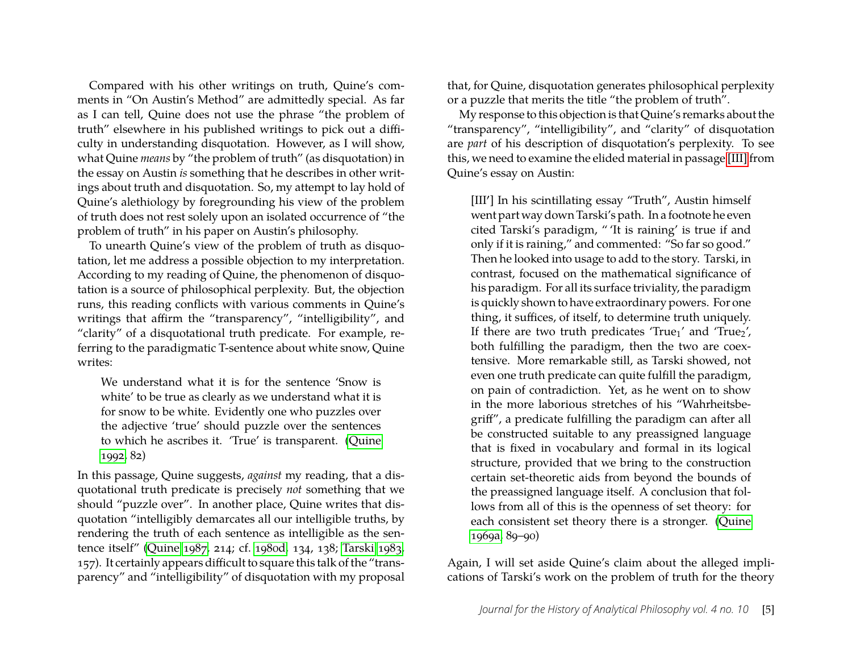Compared with his other writings on truth, Quine's comments in "On Austin's Method" are admittedly special. As far as I can tell, Quine does not use the phrase "the problem of truth" elsewhere in his published writings to pick out a difficulty in understanding disquotation. However, as I will show, what Quine *means* by "the problem of truth" (as disquotation) in the essay on Austin *is* something that he describes in other writings about truth and disquotation. So, my attempt to lay hold of Quine's alethiology by foregrounding his view of the problem of truth does not rest solely upon an isolated occurrence of "the problem of truth" in his paper on Austin's philosophy.

To unearth Quine's view of the problem of truth as disquotation, let me address a possible objection to my interpretation. According to my reading of Quine, the phenomenon of disquotation is a source of philosophical perplexity. But, the objection runs, this reading conflicts with various comments in Quine's writings that affirm the "transparency", "intelligibility", and "clarity" of a disquotational truth predicate. For example, referring to the paradigmatic T-sentence about white snow, Quine writes:

We understand what it is for the sentence 'Snow is white' to be true as clearly as we understand what it is for snow to be white. Evidently one who puzzles over the adjective 'true' should puzzle over the sentences to which he ascribes it. 'True' is transparent. [\(Quine](#page-25-5) [1992,](#page-25-5) 82)

In this passage, Quine suggests, *against* my reading, that a disquotational truth predicate is precisely *not* something that we should "puzzle over". In another place, Quine writes that disquotation "intelligibly demarcates all our intelligible truths, by rendering the truth of each sentence as intelligible as the sentence itself" [\(Quine 1987,](#page-25-4) 214; cf. [1980d,](#page-25-11) 134, 138; [Tarski 1983,](#page-25-0) 157). It certainly appears difficult to square this talk of the "transparency" and "intelligibility" of disquotation with my proposal

that, for Quine, disquotation generates philosophical perplexity or a puzzle that merits the title "the problem of truth".

My response to this objection is that Quine's remarks about the "transparency", "intelligibility", and "clarity" of disquotation are *part* of his description of disquotation's perplexity. To see this, we need to examine the elided material in passage [\[III\]](#page-4-2) from Quine's essay on Austin:

<span id="page-5-0"></span>[III'] In his scintillating essay "Truth", Austin himself went part way down Tarski's path. In a footnote he even cited Tarski's paradigm, " 'It is raining' is true if and only if it is raining," and commented: "So far so good." Then he looked into usage to add to the story. Tarski, in contrast, focused on the mathematical significance of his paradigm. For all its surface triviality, the paradigm is quickly shown to have extraordinary powers. For one thing, it suffices, of itself, to determine truth uniquely. If there are two truth predicates 'True<sub>1</sub>' and 'True<sub>2</sub>', both fulfilling the paradigm, then the two are coextensive. More remarkable still, as Tarski showed, not even one truth predicate can quite fulfill the paradigm, on pain of contradiction. Yet, as he went on to show in the more laborious stretches of his "Wahrheitsbegriff", a predicate fulfilling the paradigm can after all be constructed suitable to any preassigned language that is fixed in vocabulary and formal in its logical structure, provided that we bring to the construction certain set-theoretic aids from beyond the bounds of the preassigned language itself. A conclusion that follows from all of this is the openness of set theory: for each consistent set theory there is a stronger. [\(Quine](#page-24-4) [1969a,](#page-24-4) 89–90)

Again, I will set aside Quine's claim about the alleged implications of Tarski's work on the problem of truth for the theory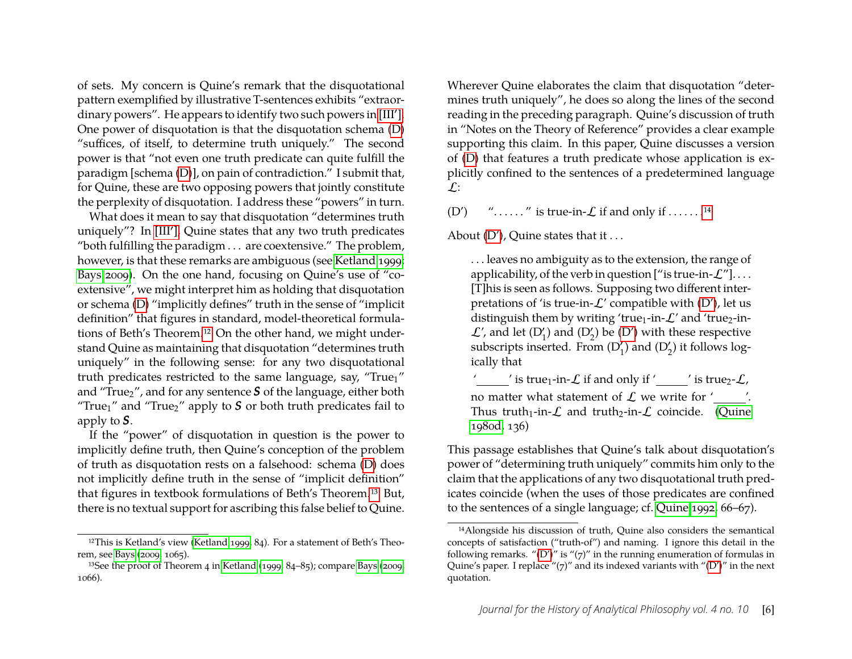of sets. My concern is Quine's remark that the disquotational pattern exemplified by illustrative T-sentences exhibits "extraor-.<br>dinary powers". He appears to identify two such powers in [\[III](#page-5-0)']. One power of disquotation is that the disquotation schema [\(D\)](#page-3-2) "suffices, of itself, to determine truth uniquely." The second power is that "not even one truth predicate can quite fulfill the paradigm [schema [\(D\)](#page-3-2)], on pain of contradiction." I submit that, for Quine, these are two opposing powers that jointly constitute the perplexity of disquotation. I address these "powers" in turn.

What does it mean to say that disquotation "determines truth uniquely"? In [\[III](#page-5-0)'], Quine states that any two truth predicates "both fulfilling the paradigm . . . are coextensive." The problem, however, is that these remarks are ambiguous (see [Ketland 1999;](#page-24-7) [Bays 2009\)](#page-23-13). On the one hand, focusing on Quine's use of "coextensive", we might interpret him as holding that disquotation or schema [\(D\)](#page-3-2) "implicitly defines" truth in the sense of "implicit definition" that figures in standard, model-theoretical formulations of Beth's Theorem[.12](#page-6-0) On the other hand, we might understand Quine as maintaining that disquotation "determines truth uniquely" in the following sense: for any two disquotational truth predicates restricted to the same language, say, "True<sub>1</sub>" and "True<sub>2</sub>", and for any sentence S of the language, either both "True<sub>1</sub>" and "True<sub>2</sub>" apply to  $S$  or both truth predicates fail to apply to *S*.

If the "power" of disquotation in question is the power to implicitly define truth, then Quine's conception of the problem of truth as disquotation rests on a falsehood: schema [\(D\)](#page-3-2) does not implicitly define truth in the sense of "implicit definition" that figures in textbook formulations of Beth's Theorem[.13](#page-6-1) But, there is no textual support for ascribing this false belief to Quine.

Wherever Quine elaborates the claim that disquotation "determines truth uniquely", he does so along the lines of the second reading in the preceding paragraph. Quine's discussion of truth in "Notes on the Theory of Reference" provides a clear example supporting this claim. In this paper, Quine discusses a version of [\(D\)](#page-3-2) that features a truth predicate whose application is explicitly confined to the sentences of a predetermined language  $\mathcal{L}$ :

<span id="page-6-3"></span>(D')  $\ldots$   $\ldots$  is true-in- $\mathcal{L}$  if and only if  $\ldots$  ... . ...<sup>14</sup>

About [\(D'\)](#page-6-3), Quine states that it ...

. . . leaves no ambiguity as to the extension, the range of applicability, of the verb in question  $["$  is true-in- $\mathcal{L}"]$ ... [T]his is seen as follows. Supposing two different interpretations of 'is true-in- $\mathcal{L}'$  compatible with  $(D')$ , let us distinguish them by writing 'true<sub>1</sub>-in- $\mathcal{L}'$  and 'true<sub>2</sub>-in- $\mathcal{L}'$ , and let  $(D'_1)$  and  $(D'_2)$  be  $(D')$  with these respective subscripts inserted. From  $(D'_1)$  and  $(D'_2)$  it follows logically that

' ' is true<sub>1</sub>-in- $\mathcal L$  if and only if ' ' is true<sub>2</sub>- $\mathcal L$ , no matter what statement of  $\mathcal L$  we write for ' Thus truth<sub>1</sub>-in- $\mathcal{L}$  and truth<sub>2</sub>-in- $\mathcal{L}$  coincide. [\(Quine](#page-25-11) [1980d,](#page-25-11) 136)

This passage establishes that Quine's talk about disquotation's power of "determining truth uniquely" commits him only to the claim that the applications of any two disquotational truth predicates coincide (when the uses of those predicates are confined to the sentences of a single language; cf. [Quine 1992,](#page-25-5) 66–67).

<span id="page-6-0"></span><sup>12</sup>This is Ketland's view [\(Ketland 1999,](#page-24-7) 84). For a statement of Beth's Theorem, see [Bays](#page-23-13) [\(2009,](#page-23-13) 1065).

<span id="page-6-1"></span><sup>13</sup>See the proof of Theorem 4 in [Ketland](#page-24-7) [\(1999,](#page-24-7) 84–85); compare [Bays](#page-23-13) [\(2009,](#page-23-13) 1066).

<span id="page-6-2"></span><sup>14</sup>Alongside his discussion of truth, Quine also considers the semantical concepts of satisfaction ("truth-of") and naming. I ignore this detail in the following remarks. " $(D')''$  $(D')''$  is " $(7)''$  in the running enumeration of formulas in Quine's paper. I replace " $(7)$ " and its indexed variants with " $(D')$ " in the next quotation.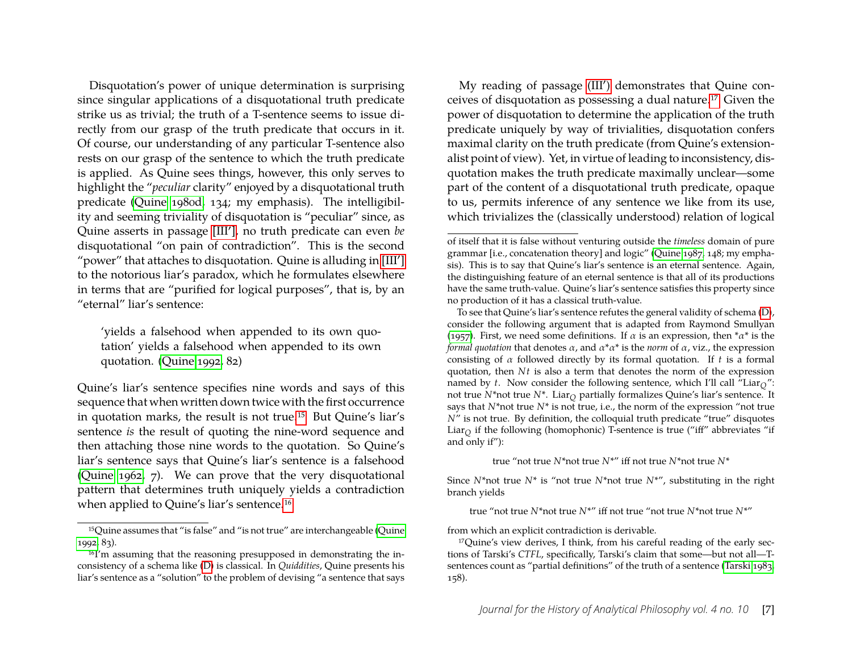Disquotation's power of unique determination is surprising since singular applications of a disquotational truth predicate strike us as trivial; the truth of a T-sentence seems to issue directly from our grasp of the truth predicate that occurs in it. Of course, our understanding of any particular T-sentence also rests on our grasp of the sentence to which the truth predicate is applied. As Quine sees things, however, this only serves to highlight the "*peculiar* clarity" enjoyed by a disquotational truth predicate [\(Quine 1980d,](#page-25-11) 134; my emphasis). The intelligibility and seeming triviality of disquotation is "peculiar" since, as Quine asserts in passage [\[III](#page-5-0)'], no truth predicate can even *be* disquotational "on pain of contradiction". This is the second "power" that attaches to disquotation. Quine is alluding in [\[III](#page-5-0)'] to the notorious liar's paradox, which he formulates elsewhere in terms that are "purified for logical purposes", that is, by an "eternal" liar's sentence:

'yields a falsehood when appended to its own quotation' yields a falsehood when appended to its own quotation. [\(Quine 1992,](#page-25-5) 82)

Quine's liar's sentence specifies nine words and says of this sequence that when written down twice with the first occurrence in quotation marks, the result is not true[.15](#page-7-0) But Quine's liar's sentence *is* the result of quoting the nine-word sequence and then attaching those nine words to the quotation. So Quine's liar's sentence says that Quine's liar's sentence is a falsehood [\(Quine 1962,](#page-24-8) 7). We can prove that the very disquotational pattern that determines truth uniquely yields a contradiction when applied to Quine's liar's sentence[.16](#page-7-1)

My reading of passage [\(III](#page-5-0)') demonstrates that Quine conceives of disquotation as possessing a dual nature[.17](#page-7-2) Given the power of disquotation to determine the application of the truth predicate uniquely by way of trivialities, disquotation confers maximal clarity on the truth predicate (from Quine's extensionalist point of view). Yet, in virtue of leading to inconsistency, disquotation makes the truth predicate maximally unclear—some part of the content of a disquotational truth predicate, opaque to us, permits inference of any sentence we like from its use, which trivializes the (classically understood) relation of logical

true "not true *N*\*not true *N*\*" iff not true *N*\*not true *N*\*

Since  $N^*$ not true  $N^*$  is "not true  $N^*$ not true  $N^{*}$ ", substituting in the right branch yields

true "not true *N*\*not true *N*\*" iff not true "not true *N*\*not true *N*\*"

from which an explicit contradiction is derivable.

<span id="page-7-0"></span><sup>15</sup>Quine assumes that "is false" and "is not true" are interchangeable [\(Quine](#page-25-5) [1992,](#page-25-5) 83).

<span id="page-7-1"></span><sup>16</sup>I'm assuming that the reasoning presupposed in demonstrating the inconsistency of a schema like [\(D\)](#page-3-2) is classical. In *Quiddities*, Quine presents his liar's sentence as a "solution" to the problem of devising "a sentence that says

of itself that it is false without venturing outside the *timeless* domain of pure grammar [i.e., concatenation theory] and logic" [\(Quine 1987,](#page-25-4) 148; my emphasis). This is to say that Quine's liar's sentence is an eternal sentence. Again, the distinguishing feature of an eternal sentence is that all of its productions have the same truth-value. Quine's liar's sentence satisfies this property since no production of it has a classical truth-value.

To see that Quine's liar's sentence refutes the general validity of schema [\(D\)](#page-3-2), consider the following argument that is adapted from Raymond Smullyan [\(1957\)](#page-25-13). First, we need some definitions. If  $\alpha$  is an expression, then  $^{\ast}\alpha^{\ast}$  is the *formal quotation* that denotes α, and α\*α\* is the *norm* of α, viz., the expression consisting of α followed directly by its formal quotation. If *t* is a formal quotation, then *Nt* is also a term that denotes the norm of the expression named by *t*. Now consider the following sentence, which I'll call "Liar<sub>O</sub>": not true  $N^*$ not true  $N^*$ . Liar<sub>O</sub> partially formalizes Quine's liar's sentence. It says that *N*\*not true *N*\* is not true, i.e., the norm of the expression "not true *N*" is not true. By definition, the colloquial truth predicate "true" disquotes Liar<sub>O</sub> if the following (homophonic) T-sentence is true ("iff" abbreviates "if and only if"):

<span id="page-7-2"></span><sup>17</sup>Quine's view derives, I think, from his careful reading of the early sections of Tarski's *CTFL*, specifically, Tarski's claim that some—but not all—Tsentences count as "partial definitions" of the truth of a sentence [\(Tarski 1983,](#page-25-0) 158).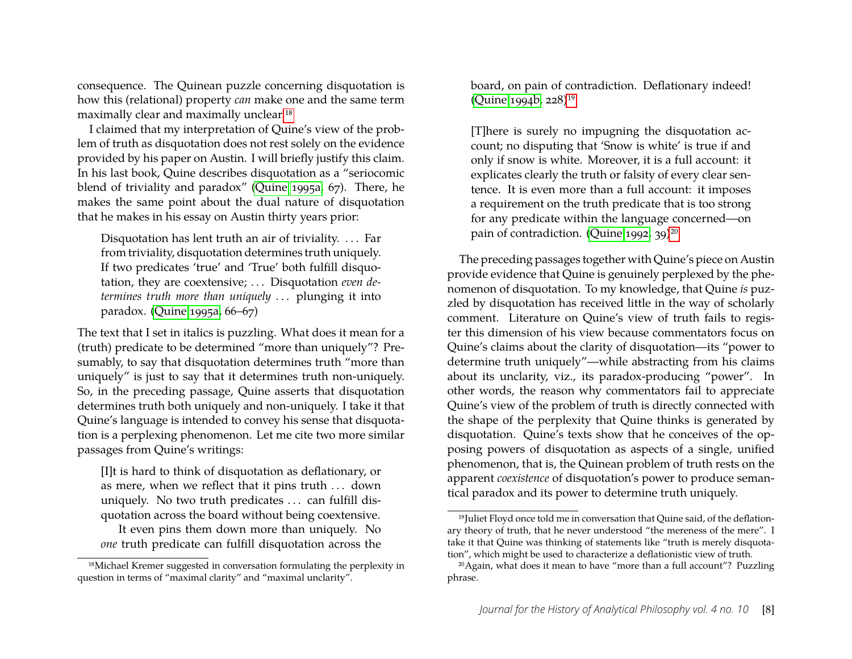consequence. The Quinean puzzle concerning disquotation is how this (relational) property *can* make one and the same term maximally clear and maximally unclear[.18](#page-8-0)

I claimed that my interpretation of Quine's view of the problem of truth as disquotation does not rest solely on the evidence provided by his paper on Austin. I will briefly justify this claim. In his last book, Quine describes disquotation as a "seriocomic blend of triviality and paradox" [\(Quine 1995a,](#page-25-14) 67). There, he makes the same point about the dual nature of disquotation that he makes in his essay on Austin thirty years prior:

Disquotation has lent truth an air of triviality. . . . Far from triviality, disquotation determines truth uniquely. If two predicates 'true' and 'True' both fulfill disquotation, they are coextensive; . . . Disquotation *even determines truth more than uniquely* . . . plunging it into paradox. [\(Quine 1995a,](#page-25-14) 66–67)

The text that I set in italics is puzzling. What does it mean for a (truth) predicate to be determined "more than uniquely"? Presumably, to say that disquotation determines truth "more than uniquely" is just to say that it determines truth non-uniquely. So, in the preceding passage, Quine asserts that disquotation determines truth both uniquely and non-uniquely. I take it that Quine's language is intended to convey his sense that disquotation is a perplexing phenomenon. Let me cite two more similar passages from Quine's writings:

[I]t is hard to think of disquotation as deflationary, or as mere, when we reflect that it pins truth . . . down uniquely. No two truth predicates . . . can fulfill disquotation across the board without being coextensive.

It even pins them down more than uniquely. No *one* truth predicate can fulfill disquotation across the board, on pain of contradiction. Deflationary indeed! [\(Quine 1994b,](#page-25-15) 228[\)19](#page-8-1)

[T]here is surely no impugning the disquotation account; no disputing that 'Snow is white' is true if and only if snow is white. Moreover, it is a full account: it explicates clearly the truth or falsity of every clear sentence. It is even more than a full account: it imposes a requirement on the truth predicate that is too strong for any predicate within the language concerned—on pain of contradiction. [\(Quine 1992,](#page-25-5) 39)<sup>20</sup>

The preceding passages together with Quine's piece on Austin provide evidence that Quine is genuinely perplexed by the phenomenon of disquotation. To my knowledge, that Quine *is* puzzled by disquotation has received little in the way of scholarly comment. Literature on Quine's view of truth fails to register this dimension of his view because commentators focus on Quine's claims about the clarity of disquotation—its "power to determine truth uniquely"—while abstracting from his claims about its unclarity, viz., its paradox-producing "power". In other words, the reason why commentators fail to appreciate Quine's view of the problem of truth is directly connected with the shape of the perplexity that Quine thinks is generated by disquotation. Quine's texts show that he conceives of the opposing powers of disquotation as aspects of a single, unified phenomenon, that is, the Quinean problem of truth rests on the apparent *coexistence* of disquotation's power to produce semantical paradox and its power to determine truth uniquely.

<span id="page-8-0"></span><sup>&</sup>lt;sup>18</sup>Michael Kremer suggested in conversation formulating the perplexity in question in terms of "maximal clarity" and "maximal unclarity".

<span id="page-8-1"></span><sup>&</sup>lt;sup>19</sup>Juliet Floyd once told me in conversation that Quine said, of the deflationary theory of truth, that he never understood "the mereness of the mere". I take it that Quine was thinking of statements like "truth is merely disquotation", which might be used to characterize a deflationistic view of truth.

<span id="page-8-2"></span><sup>20</sup>Again, what does it mean to have "more than a full account"? Puzzling phrase.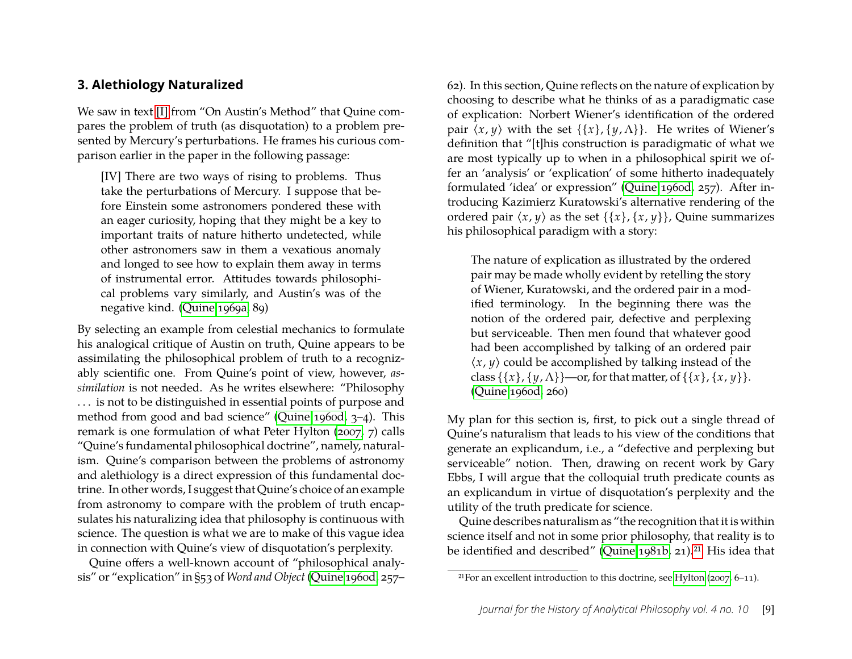#### <span id="page-9-0"></span>**3. Alethiology Naturalized**

We saw in text [\[I\]](#page-3-5) from "On Austin's Method" that Quine compares the problem of truth (as disquotation) to a problem presented by Mercury's perturbations. He frames his curious comparison earlier in the paper in the following passage:

<span id="page-9-2"></span>[IV] There are two ways of rising to problems. Thus take the perturbations of Mercury. I suppose that before Einstein some astronomers pondered these with an eager curiosity, hoping that they might be a key to important traits of nature hitherto undetected, while other astronomers saw in them a vexatious anomaly and longed to see how to explain them away in terms of instrumental error. Attitudes towards philosophical problems vary similarly, and Austin's was of the negative kind. [\(Quine 1969a,](#page-24-4) 89)

By selecting an example from celestial mechanics to formulate his analogical critique of Austin on truth, Quine appears to be assimilating the philosophical problem of truth to a recognizably scientific one. From Quine's point of view, however, *assimilation* is not needed. As he writes elsewhere: "Philosophy . . . is not to be distinguished in essential points of purpose and method from good and bad science" [\(Quine 1960d,](#page-24-3) 3–4). This remark is one formulation of what Peter Hylton [\(2007,](#page-24-9) 7) calls "Quine's fundamental philosophical doctrine", namely, naturalism. Quine's comparison between the problems of astronomy and alethiology is a direct expression of this fundamental doctrine. In other words, I suggest that Quine's choice of an example from astronomy to compare with the problem of truth encapsulates his naturalizing idea that philosophy is continuous with science. The question is what we are to make of this vague idea in connection with Quine's view of disquotation's perplexity.

Quine offers a well-known account of "philosophical analysis" or "explication" in §53 of *Word and Object* [\(Quine 1960d,](#page-24-3) 257– 62). In this section, Quine reflects on the nature of explication by choosing to describe what he thinks of as a paradigmatic case of explication: Norbert Wiener's identification of the ordered pair  $\langle x, y \rangle$  with the set  $\{\{x\}, \{y, \Lambda\}\}\$ . He writes of Wiener's definition that "[t]his construction is paradigmatic of what we are most typically up to when in a philosophical spirit we offer an 'analysis' or 'explication' of some hitherto inadequately formulated 'idea' or expression" [\(Quine 1960d,](#page-24-3) 257). After introducing Kazimierz Kuratowski's alternative rendering of the ordered pair  $\langle x, y \rangle$  as the set  $\{\{x\}, \{x, y\}\}\$ , Quine summarizes his philosophical paradigm with a story:

The nature of explication as illustrated by the ordered pair may be made wholly evident by retelling the story of Wiener, Kuratowski, and the ordered pair in a modified terminology. In the beginning there was the notion of the ordered pair, defective and perplexing but serviceable. Then men found that whatever good had been accomplished by talking of an ordered pair  $\langle x, y \rangle$  could be accomplished by talking instead of the class  $\{\{x\}, \{y, \Lambda\}\}$ —or, for that matter, of  $\{\{x\}, \{x, y\}\}.$ [\(Quine 1960d,](#page-24-3) 260)

My plan for this section is, first, to pick out a single thread of Quine's naturalism that leads to his view of the conditions that generate an explicandum, i.e., a "defective and perplexing but serviceable" notion. Then, drawing on recent work by Gary Ebbs, I will argue that the colloquial truth predicate counts as an explicandum in virtue of disquotation's perplexity and the utility of the truth predicate for science.

Quine describes naturalism as "the recognition that it is within science itself and not in some prior philosophy, that reality is to be identified and described" [\(Quine 1981b,](#page-25-16) 21)[.21](#page-9-1) His idea that

<span id="page-9-1"></span><sup>&</sup>lt;sup>21</sup>For an excellent introduction to this doctrine, see [Hylton](#page-24-9) [\(2007,](#page-24-9) 6–11).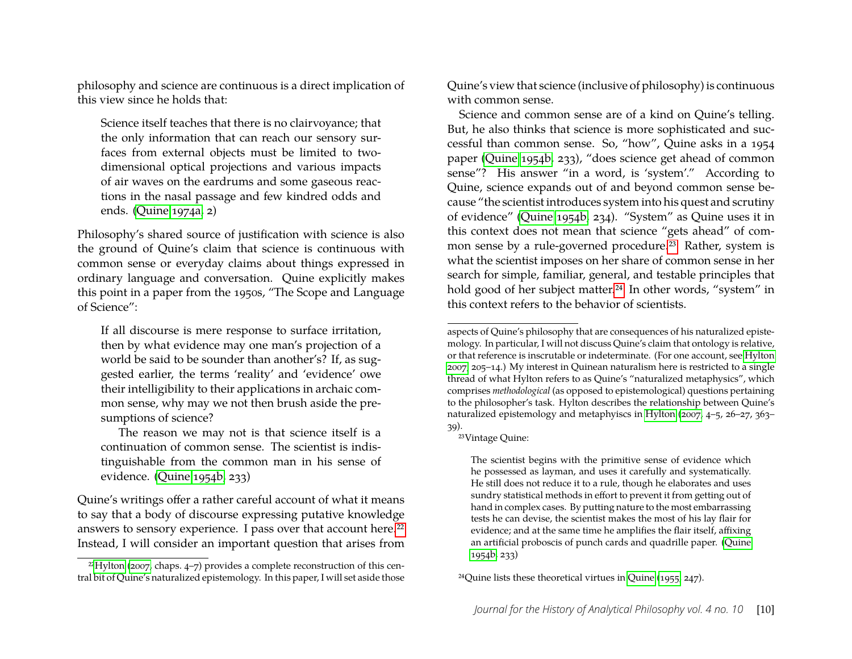philosophy and science are continuous is a direct implication of this view since he holds that:

Science itself teaches that there is no clairvoyance; that the only information that can reach our sensory surfaces from external objects must be limited to twodimensional optical projections and various impacts of air waves on the eardrums and some gaseous reactions in the nasal passage and few kindred odds and ends. [\(Quine 1974a,](#page-24-10) 2)

Philosophy's shared source of justification with science is also the ground of Quine's claim that science is continuous with common sense or everyday claims about things expressed in ordinary language and conversation. Quine explicitly makes this point in a paper from the 1950s, "The Scope and Language of Science":

If all discourse is mere response to surface irritation, then by what evidence may one man's projection of a world be said to be sounder than another's? If, as suggested earlier, the terms 'reality' and 'evidence' owe their intelligibility to their applications in archaic common sense, why may we not then brush aside the presumptions of science?

The reason we may not is that science itself is a continuation of common sense. The scientist is indistinguishable from the common man in his sense of evidence. [\(Quine 1954b,](#page-24-11) 233)

Quine's writings offer a rather careful account of what it means to say that a body of discourse expressing putative knowledge answers to sensory experience. I pass over that account here.<sup>22</sup> Instead, I will consider an important question that arises from Quine's view that science (inclusive of philosophy) is continuous with common sense.

Science and common sense are of a kind on Quine's telling. But, he also thinks that science is more sophisticated and successful than common sense. So, "how", Quine asks in a 1954 paper [\(Quine 1954b,](#page-24-11) 233), "does science get ahead of common sense"? His answer "in a word, is 'system'." According to Quine, science expands out of and beyond common sense because "the scientist introduces system into his quest and scrutiny of evidence" [\(Quine 1954b,](#page-24-11) 234). "System" as Quine uses it in this context does not mean that science "gets ahead" of common sense by a rule-governed procedure.<sup>23</sup> Rather, system is what the scientist imposes on her share of common sense in her search for simple, familiar, general, and testable principles that hold good of her subject matter.<sup>24</sup> In other words, "system" in this context refers to the behavior of scientists.

<span id="page-10-1"></span>23Vintage Quine:

The scientist begins with the primitive sense of evidence which he possessed as layman, and uses it carefully and systematically. He still does not reduce it to a rule, though he elaborates and uses sundry statistical methods in effort to prevent it from getting out of hand in complex cases. By putting nature to the most embarrassing tests he can devise, the scientist makes the most of his lay flair for evidence; and at the same time he amplifies the flair itself, affixing an artificial proboscis of punch cards and quadrille paper. [\(Quine](#page-24-11) [1954b,](#page-24-11) 233)

<span id="page-10-2"></span>24Quine lists these theoretical virtues in [Quine](#page-24-12) [\(1955,](#page-24-12) 247).

<span id="page-10-0"></span> $22$ Hylton [\(2007,](#page-24-9) chaps. 4–7) provides a complete reconstruction of this central bit of Quine's naturalized epistemology. In this paper, I will set aside those

aspects of Quine's philosophy that are consequences of his naturalized epistemology. In particular, I will not discuss Quine's claim that ontology is relative, or that reference is inscrutable or indeterminate. (For one account, see [Hylton](#page-24-9) [2007,](#page-24-9) 205–14.) My interest in Quinean naturalism here is restricted to a single thread of what Hylton refers to as Quine's "naturalized metaphysics", which comprises *methodological* (as opposed to epistemological) questions pertaining to the philosopher's task. Hylton describes the relationship between Quine's naturalized epistemology and metaphyiscs in [Hylton](#page-24-9) [\(2007,](#page-24-9) 4–5, 26–27, 363– 39).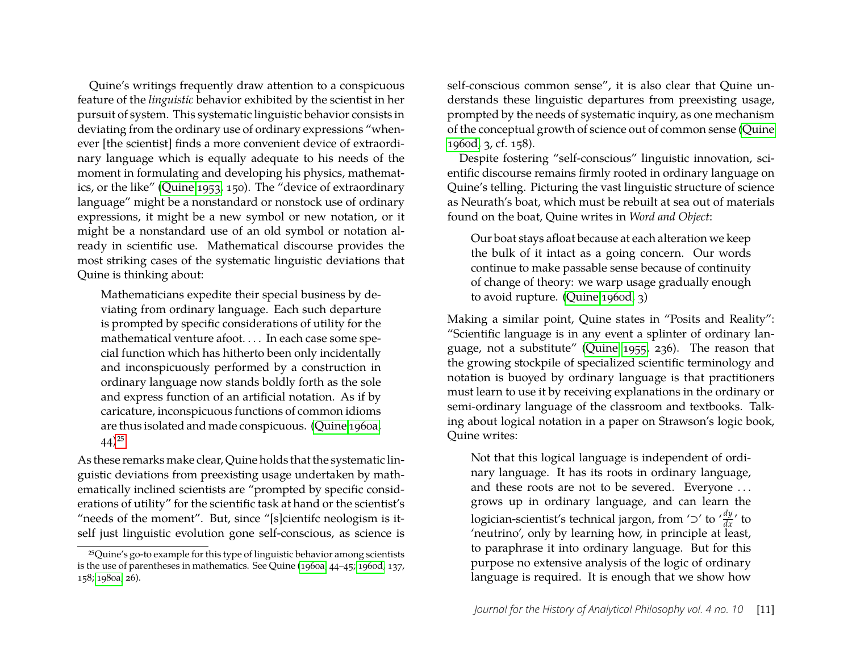Quine's writings frequently draw attention to a conspicuous feature of the *linguistic* behavior exhibited by the scientist in her pursuit of system. This systematic linguistic behavior consists in deviating from the ordinary use of ordinary expressions "whenever [the scientist] finds a more convenient device of extraordinary language which is equally adequate to his needs of the moment in formulating and developing his physics, mathematics, or the like" [\(Quine 1953,](#page-24-13) 150). The "device of extraordinary language" might be a nonstandard or nonstock use of ordinary expressions, it might be a new symbol or new notation, or it might be a nonstandard use of an old symbol or notation already in scientific use. Mathematical discourse provides the most striking cases of the systematic linguistic deviations that Quine is thinking about:

Mathematicians expedite their special business by deviating from ordinary language. Each such departure is prompted by specific considerations of utility for the mathematical venture afoot. . . . In each case some special function which has hitherto been only incidentally and inconspicuously performed by a construction in ordinary language now stands boldly forth as the sole and express function of an artificial notation. As if by caricature, inconspicuous functions of common idioms are thus isolated and made conspicuous. [\(Quine 1960a,](#page-24-14)  $(44)^{25}$ 

As these remarks make clear, Quine holds that the systematic linguistic deviations from preexisting usage undertaken by mathematically inclined scientists are "prompted by specific considerations of utility" for the scientific task at hand or the scientist's "needs of the moment". But, since "[s]cientifc neologism is itself just linguistic evolution gone self-conscious, as science is self-conscious common sense", it is also clear that Quine understands these linguistic departures from preexisting usage, prompted by the needs of systematic inquiry, as one mechanism of the conceptual growth of science out of common sense [\(Quine](#page-24-3) [1960d,](#page-24-3) 3, cf. 158).

Despite fostering "self-conscious" linguistic innovation, scientific discourse remains firmly rooted in ordinary language on Quine's telling. Picturing the vast linguistic structure of science as Neurath's boat, which must be rebuilt at sea out of materials found on the boat, Quine writes in *Word and Object*:

Our boat stays afloat because at each alteration we keep the bulk of it intact as a going concern. Our words continue to make passable sense because of continuity of change of theory: we warp usage gradually enough to avoid rupture. [\(Quine 1960d,](#page-24-3) 3)

Making a similar point, Quine states in "Posits and Reality": "Scientific language is in any event a splinter of ordinary language, not a substitute" [\(Quine 1955,](#page-24-12) 236). The reason that the growing stockpile of specialized scientific terminology and notation is buoyed by ordinary language is that practitioners must learn to use it by receiving explanations in the ordinary or semi-ordinary language of the classroom and textbooks. Talking about logical notation in a paper on Strawson's logic book, Quine writes:

Not that this logical language is independent of ordinary language. It has its roots in ordinary language, and these roots are not to be severed. Everyone . . . grows up in ordinary language, and can learn the logician-scientist's technical jargon, from '⊃' to  $\frac{dy}{dx}$ ' to 'neutrino', only by learning how, in principle at least, to paraphrase it into ordinary language. But for this purpose no extensive analysis of the logic of ordinary language is required. It is enough that we show how

<span id="page-11-0"></span><sup>25</sup>Quine's go-to example for this type of linguistic behavior among scientists is the use of parentheses in mathematics. See Quine [\(1960a,](#page-24-14) 44–45; [1960d,](#page-24-3) 137, 158; [1980a,](#page-25-17) 26).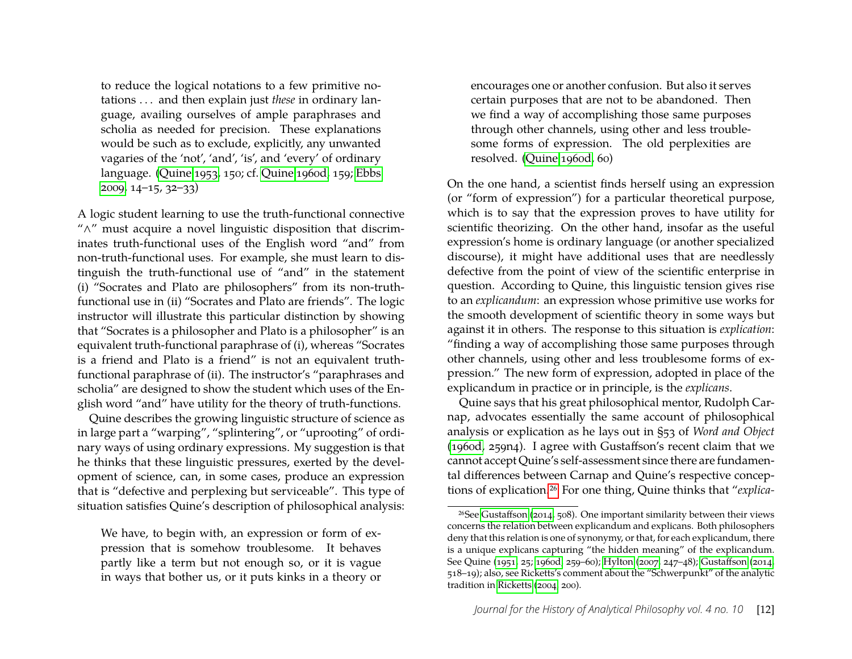to reduce the logical notations to a few primitive notations . . . and then explain just *these* in ordinary language, availing ourselves of ample paraphrases and scholia as needed for precision. These explanations would be such as to exclude, explicitly, any unwanted vagaries of the 'not', 'and', 'is', and 'every' of ordinary language. [\(Quine 1953,](#page-24-13) 150; cf. [Quine 1960d,](#page-24-3) 159; [Ebbs](#page-23-14) [2009,](#page-23-14) 14–15, 32–33)

A logic student learning to use the truth-functional connective "∧" must acquire a novel linguistic disposition that discriminates truth-functional uses of the English word "and" from non-truth-functional uses. For example, she must learn to distinguish the truth-functional use of "and" in the statement (i) "Socrates and Plato are philosophers" from its non-truthfunctional use in (ii) "Socrates and Plato are friends". The logic instructor will illustrate this particular distinction by showing that "Socrates is a philosopher and Plato is a philosopher" is an equivalent truth-functional paraphrase of (i), whereas "Socrates is a friend and Plato is a friend" is not an equivalent truthfunctional paraphrase of (ii). The instructor's "paraphrases and scholia" are designed to show the student which uses of the English word "and" have utility for the theory of truth-functions.

Quine describes the growing linguistic structure of science as in large part a "warping", "splintering", or "uprooting" of ordinary ways of using ordinary expressions. My suggestion is that he thinks that these linguistic pressures, exerted by the development of science, can, in some cases, produce an expression that is "defective and perplexing but serviceable". This type of situation satisfies Quine's description of philosophical analysis:

We have, to begin with, an expression or form of expression that is somehow troublesome. It behaves partly like a term but not enough so, or it is vague in ways that bother us, or it puts kinks in a theory or

encourages one or another confusion. But also it serves certain purposes that are not to be abandoned. Then we find a way of accomplishing those same purposes through other channels, using other and less troublesome forms of expression. The old perplexities are resolved. [\(Quine 1960d,](#page-24-3) 60)

On the one hand, a scientist finds herself using an expression (or "form of expression") for a particular theoretical purpose, which is to say that the expression proves to have utility for scientific theorizing. On the other hand, insofar as the useful expression's home is ordinary language (or another specialized discourse), it might have additional uses that are needlessly defective from the point of view of the scientific enterprise in question. According to Quine, this linguistic tension gives rise to an *explicandum*: an expression whose primitive use works for the smooth development of scientific theory in some ways but against it in others. The response to this situation is *explication*: "finding a way of accomplishing those same purposes through other channels, using other and less troublesome forms of expression." The new form of expression, adopted in place of the explicandum in practice or in principle, is the *explicans*.

Quine says that his great philosophical mentor, Rudolph Carnap, advocates essentially the same account of philosophical analysis or explication as he lays out in §53 of *Word and Object* [\(1960d,](#page-24-3) 259n4). I agree with Gustaffson's recent claim that we cannot accept Quine's self-assessment since there are fundamental differences between Carnap and Quine's respective conceptions of explication[.26](#page-12-0) For one thing, Quine thinks that "*explica-*

<span id="page-12-0"></span><sup>26</sup>See [Gustaffson](#page-24-15) [\(2014,](#page-24-15) 508). One important similarity between their views concerns the relation between explicandum and explicans. Both philosophers deny that this relation is one of synonymy, or that, for each explicandum, there is a unique explicans capturing "the hidden meaning" of the explicandum. See Quine [\(1951,](#page-24-16) 25; [1960d,](#page-24-3) 259–60); [Hylton](#page-24-9) [\(2007,](#page-24-9) 247–48); [Gustaffson](#page-24-15) [\(2014,](#page-24-15) 518–19); also, see Ricketts's comment about the "Schwerpunkt" of the analytic tradition in [Ricketts](#page-25-18) [\(2004,](#page-25-18) 200).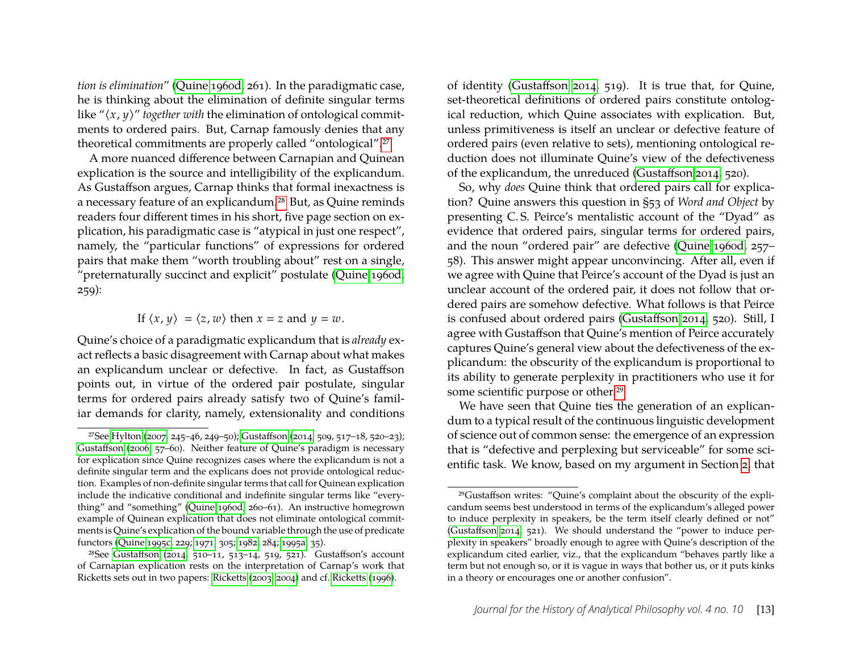*tion is elimination*" [\(Quine 1960d,](#page-24-3) 261). In the paradigmatic case, he is thinking about the elimination of definite singular terms like " $\langle x, y \rangle$ " *together with* the elimination of ontological commitments to ordered pairs. But, Carnap famously denies that any theoretical commitments are properly called "ontological"[.27](#page-13-0)

A more nuanced difference between Carnapian and Quinean explication is the source and intelligibility of the explicandum. As Gustaffson argues, Carnap thinks that formal inexactness is a necessary feature of an explicandum[.28](#page-13-1) But, as Quine reminds readers four different times in his short, five page section on explication, his paradigmatic case is "atypical in just one respect", namely, the "particular functions" of expressions for ordered pairs that make them "worth troubling about" rest on a single, "preternaturally succinct and explicit" postulate [\(Quine 1960d,](#page-24-3) 259):

#### If  $\langle x, y \rangle = \langle z, w \rangle$  then  $x = z$  and  $y = w$ .

Quine's choice of a paradigmatic explicandum that is *already* exact reflects a basic disagreement with Carnap about what makes an explicandum unclear or defective. In fact, as Gustaffson points out, in virtue of the ordered pair postulate, singular terms for ordered pairs already satisfy two of Quine's familiar demands for clarity, namely, extensionality and conditions of identity [\(Gustaffson 2014,](#page-24-15) 519). It is true that, for Quine, set-theoretical definitions of ordered pairs constitute ontological reduction, which Quine associates with explication. But, unless primitiveness is itself an unclear or defective feature of ordered pairs (even relative to sets), mentioning ontological reduction does not illuminate Quine's view of the defectiveness of the explicandum, the unreduced [\(Gustaffson 2014,](#page-24-15) 520).

So, why *does* Quine think that ordered pairs call for explication? Quine answers this question in §53 of *Word and Object* by presenting C. S. Peirce's mentalistic account of the "Dyad" as evidence that ordered pairs, singular terms for ordered pairs, and the noun "ordered pair" are defective [\(Quine 1960d,](#page-24-3) 257– 58). This answer might appear unconvincing. After all, even if we agree with Quine that Peirce's account of the Dyad is just an unclear account of the ordered pair, it does not follow that ordered pairs are somehow defective. What follows is that Peirce is confused about ordered pairs [\(Gustaffson 2014,](#page-24-15) 520). Still, I agree with Gustaffson that Quine's mention of Peirce accurately captures Quine's general view about the defectiveness of the explicandum: the obscurity of the explicandum is proportional to its ability to generate perplexity in practitioners who use it for some scientific purpose or other[.29](#page-13-2)

We have seen that Quine ties the generation of an explicandum to a typical result of the continuous linguistic development of science out of common sense: the emergence of an expression that is "defective and perplexing but serviceable" for some scientific task. We know, based on my argument in Section [2,](#page-3-0) that

<span id="page-13-0"></span><sup>27</sup>See [Hylton](#page-24-9) [\(2007,](#page-24-9) 245–46, 249–50); [Gustaffson](#page-24-15) [\(2014,](#page-24-15) 509, 517–18, 520–23); [Gustaffson](#page-24-17) [\(2006,](#page-24-17) 57–60). Neither feature of Quine's paradigm is necessary for explication since Quine recognizes cases where the explicandum is not a definite singular term and the explicans does not provide ontological reduction. Examples of non-definite singular terms that call for Quinean explication include the indicative conditional and indefinite singular terms like "everything" and "something" [\(Quine 1960d,](#page-24-3) 260–61). An instructive homegrown example of Quinean explication that does not eliminate ontological commitments is Quine's explication of the bound variable through the use of predicate functors [\(Quine 1995c,](#page-25-19) 229; [1971,](#page-24-18) 305; [1982,](#page-25-10) 284; [1995a,](#page-25-14) 35).

<span id="page-13-1"></span><sup>&</sup>lt;sup>28</sup>See [Gustaffson](#page-24-15) [\(2014,](#page-24-15) 510–11, 513–14, 519, 521). Gustaffson's account of Carnapian explication rests on the interpretation of Carnap's work that Ricketts sets out in two papers: [Ricketts](#page-25-20) [\(2003,](#page-25-20) [2004\)](#page-25-18) and cf. [Ricketts](#page-25-21) [\(1996\)](#page-25-21).

<span id="page-13-2"></span><sup>29</sup>Gustaffson writes: "Quine's complaint about the obscurity of the explicandum seems best understood in terms of the explicandum's alleged power to induce perplexity in speakers, be the term itself clearly defined or not" [\(Gustaffson 2014,](#page-24-15) 521). We should understand the "power to induce perplexity in speakers" broadly enough to agree with Quine's description of the explicandum cited earlier, viz., that the explicandum "behaves partly like a term but not enough so, or it is vague in ways that bother us, or it puts kinks in a theory or encourages one or another confusion".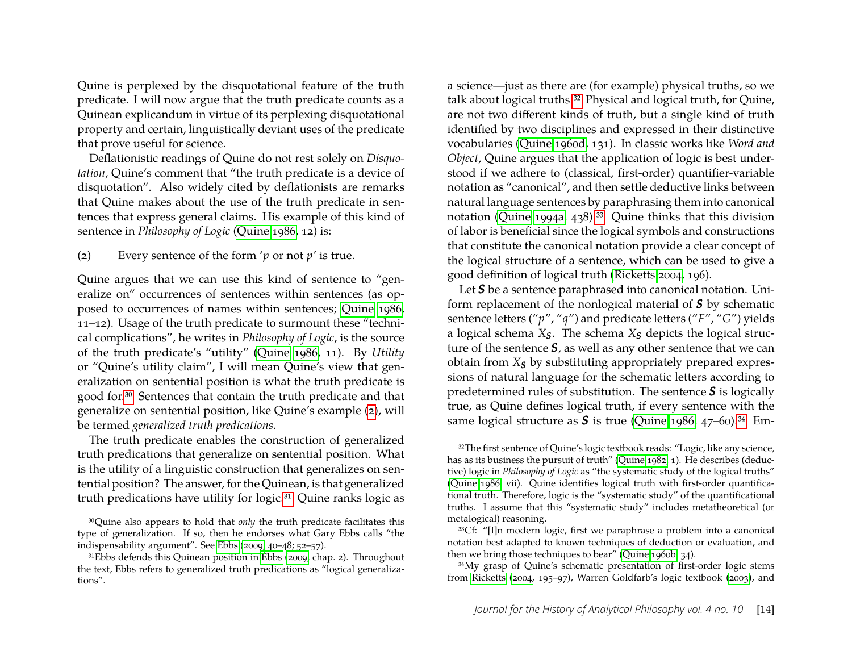Quine is perplexed by the disquotational feature of the truth predicate. I will now argue that the truth predicate counts as a Quinean explicandum in virtue of its perplexing disquotational property and certain, linguistically deviant uses of the predicate that prove useful for science.

Deflationistic readings of Quine do not rest solely on *Disquotation*, Quine's comment that "the truth predicate is a device of disquotation". Also widely cited by deflationists are remarks that Quine makes about the use of the truth predicate in sentences that express general claims. His example of this kind of sentence in *Philosophy of Logic* [\(Quine 1986,](#page-25-1) 12) is:

<span id="page-14-2"></span><span id="page-14-1"></span>(2) Every sentence of the form '*p* or not *p*' is true.

Quine argues that we can use this kind of sentence to "generalize on" occurrences of sentences within sentences (as opposed to occurrences of names within sentences; [Quine 1986,](#page-25-1) 11–12). Usage of the truth predicate to surmount these "technical complications", he writes in *Philosophy of Logic*, is the source of the truth predicate's "utility" [\(Quine 1986,](#page-25-1) 11). By *Utility* or "Quine's utility claim", I will mean Quine's view that generalization on sentential position is what the truth predicate is good for[.30](#page-14-0) Sentences that contain the truth predicate and that generalize on sentential position, like Quine's example [\(2\)](#page-14-1), will be termed *generalized truth predications*.

The truth predicate enables the construction of generalized truth predications that generalize on sentential position. What is the utility of a linguistic construction that generalizes on sentential position? The answer, for the Quinean, is that generalized truth predications have utility for logic[.31](#page-14-3) Quine ranks logic as

a science—just as there are (for example) physical truths, so we talk about logical truths[.32](#page-14-4) Physical and logical truth, for Quine, are not two different kinds of truth, but a single kind of truth identified by two disciplines and expressed in their distinctive vocabularies [\(Quine 1960d,](#page-24-3) 131). In classic works like *Word and Object*, Quine argues that the application of logic is best understood if we adhere to (classical, first-order) quantifier-variable notation as "canonical", and then settle deductive links between natural language sentences by paraphrasing them into canonical notation [\(Quine 1994a,](#page-25-22) 438).<sup>33</sup> Quine thinks that this division of labor is beneficial since the logical symbols and constructions that constitute the canonical notation provide a clear concept of the logical structure of a sentence, which can be used to give a good definition of logical truth [\(Ricketts 2004,](#page-25-18) 196).

Let *S* be a sentence paraphrased into canonical notation. Uniform replacement of the nonlogical material of *S* by schematic sentence letters ("*p*", "*q*") and predicate letters ("*F*", "*G*") yields a logical schema *XS*. The schema *X<sup>S</sup>* depicts the logical structure of the sentence *S*, as well as any other sentence that we can obtain from *X<sup>S</sup>* by substituting appropriately prepared expressions of natural language for the schematic letters according to predetermined rules of substitution. The sentence *S* is logically true, as Quine defines logical truth, if every sentence with the same logical structure as  $S$  is true [\(Quine 1986,](#page-25-1) 47–60).<sup>34</sup> Em-

<span id="page-14-0"></span><sup>30</sup>Quine also appears to hold that *only* the truth predicate facilitates this type of generalization. If so, then he endorses what Gary Ebbs calls "the indispensability argument". See [Ebbs](#page-23-14) [\(2009,](#page-23-14) 40–48; 52–57).

<span id="page-14-3"></span><sup>&</sup>lt;sup>31</sup>Ebbs defends this Quinean position in [Ebbs](#page-23-14) [\(2009,](#page-23-14) chap. 2). Throughout the text, Ebbs refers to generalized truth predications as "logical generalizations".

<span id="page-14-4"></span><sup>&</sup>lt;sup>32</sup>The first sentence of Quine's logic textbook reads: "Logic, like any science, has as its business the pursuit of truth" [\(Quine 1982,](#page-25-10) 1). He describes (deductive) logic in *Philosophy of Logic* as "the systematic study of the logical truths" [\(Quine 1986,](#page-25-1) vii). Quine identifies logical truth with first-order quantificational truth. Therefore, logic is the "systematic study" of the quantificational truths. I assume that this "systematic study" includes metatheoretical (or metalogical) reasoning.

<span id="page-14-5"></span><sup>33</sup>Cf: "[I]n modern logic, first we paraphrase a problem into a canonical notation best adapted to known techniques of deduction or evaluation, and then we bring those techniques to bear" [\(Quine 1960b,](#page-24-19) 34).

<span id="page-14-6"></span><sup>34</sup>My grasp of Quine's schematic presentation of first-order logic stems from [Ricketts](#page-25-18) [\(2004,](#page-25-18) 195–97), Warren Goldfarb's logic textbook [\(2003\)](#page-24-20), and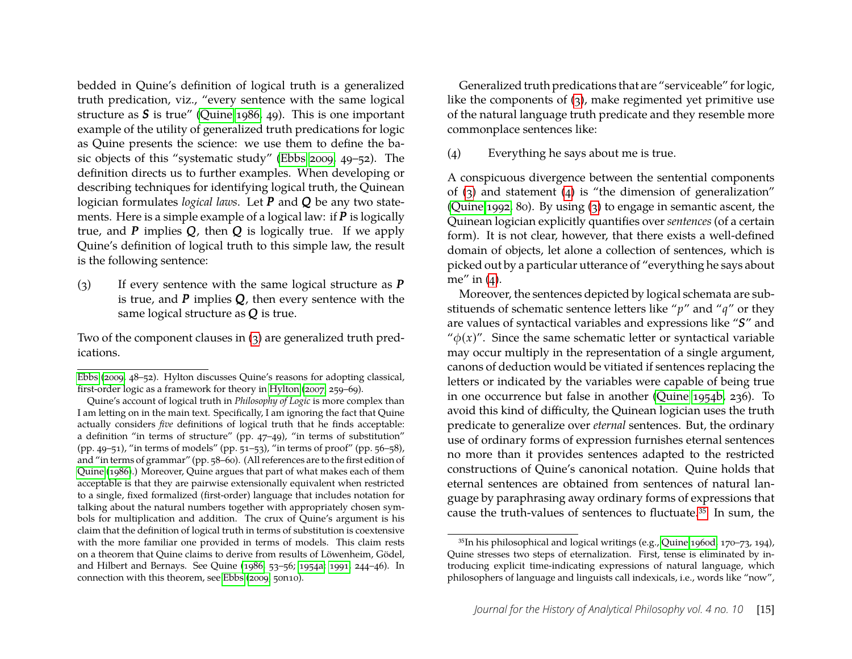bedded in Quine's definition of logical truth is a generalized truth predication, viz., "every sentence with the same logical structure as *S* is true" [\(Quine 1986,](#page-25-1) 49). This is one important example of the utility of generalized truth predications for logic as Quine presents the science: we use them to define the basic objects of this "systematic study" [\(Ebbs 2009,](#page-23-14) 49–52). The definition directs us to further examples. When developing or describing techniques for identifying logical truth, the Quinean logician formulates *logical laws*. Let *P* and *Q* be any two statements. Here is a simple example of a logical law: if *P* is logically true, and *P* implies *Q*, then *Q* is logically true. If we apply Quine's definition of logical truth to this simple law, the result is the following sentence:

<span id="page-15-1"></span><span id="page-15-0"></span>(3) If every sentence with the same logical structure as *P* is true, and *P* implies *Q*, then every sentence with the same logical structure as *Q* is true.

Two of the component clauses in [\(3\)](#page-15-0) are generalized truth predications.

Generalized truth predications that are "serviceable" for logic, like the components of [\(3\)](#page-15-0), make regimented yet primitive use of the natural language truth predicate and they resemble more commonplace sentences like:

#### <span id="page-15-3"></span><span id="page-15-2"></span>(4) Everything he says about me is true.

A conspicuous divergence between the sentential components of [\(3\)](#page-15-0) and statement [\(4\)](#page-15-2) is "the dimension of generalization" [\(Quine 1992,](#page-25-5) 80). By using [\(3\)](#page-15-0) to engage in semantic ascent, the Quinean logician explicitly quantifies over *sentences* (of a certain form). It is not clear, however, that there exists a well-defined domain of objects, let alone a collection of sentences, which is picked out by a particular utterance of "everything he says about me" in  $(4)$ .

Moreover, the sentences depicted by logical schemata are substituends of schematic sentence letters like "*p*" and "*q*" or they are values of syntactical variables and expressions like "*S*" and " $\phi(x)$ ". Since the same schematic letter or syntactical variable may occur multiply in the representation of a single argument, canons of deduction would be vitiated if sentences replacing the letters or indicated by the variables were capable of being true in one occurrence but false in another [\(Quine 1954b,](#page-24-11) 236). To avoid this kind of difficulty, the Quinean logician uses the truth predicate to generalize over *eternal* sentences. But, the ordinary use of ordinary forms of expression furnishes eternal sentences no more than it provides sentences adapted to the restricted constructions of Quine's canonical notation. Quine holds that eternal sentences are obtained from sentences of natural language by paraphrasing away ordinary forms of expressions that cause the truth-values of sentences to fluctuate[.35](#page-15-4) In sum, the

[Ebbs](#page-23-14) [\(2009,](#page-23-14) 48–52). Hylton discusses Quine's reasons for adopting classical, first-order logic as a framework for theory in [Hylton](#page-24-9) [\(2007,](#page-24-9) 259–69).

Quine's account of logical truth in *Philosophy of Logic* is more complex than I am letting on in the main text. Specifically, I am ignoring the fact that Quine actually considers *five* definitions of logical truth that he finds acceptable: a definition "in terms of structure" (pp. 47–49), "in terms of substitution" (pp. 49–51), "in terms of models" (pp.  $\frac{1}{51}$ –53), "in terms of proof" (pp. 56–58), and "in terms of grammar" (pp. 58–60). (All references are to the first edition of [Quine](#page-25-1) [\(1986\)](#page-25-1).) Moreover, Quine argues that part of what makes each of them acceptable is that they are pairwise extensionally equivalent when restricted to a single, fixed formalized (first-order) language that includes notation for talking about the natural numbers together with appropriately chosen symbols for multiplication and addition. The crux of Quine's argument is his claim that the definition of logical truth in terms of substitution is coextensive with the more familiar one provided in terms of models. This claim rests on a theorem that Quine claims to derive from results of Löwenheim, Gödel, and Hilbert and Bernays. See Quine [\(1986,](#page-25-1) 53–56; [1954a;](#page-24-21) [1991,](#page-25-23) 244–46). In connection with this theorem, see [Ebbs](#page-23-14) [\(2009,](#page-23-14) 50n10).

<span id="page-15-4"></span><sup>35</sup>In his philosophical and logical writings (e.g., [Quine 1960d,](#page-24-3) 170–73, 194), Quine stresses two steps of eternalization. First, tense is eliminated by introducing explicit time-indicating expressions of natural language, which philosophers of language and linguists call indexicals, i.e., words like "now",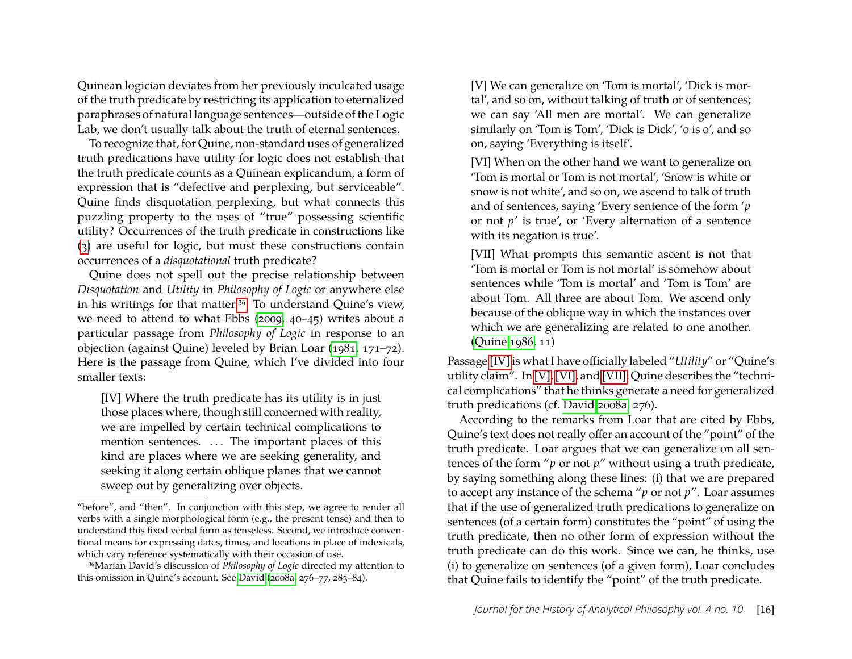Quinean logician deviates from her previously inculcated usage of the truth predicate by restricting its application to eternalized paraphrases of natural language sentences—outside of the Logic Lab, we don't usually talk about the truth of eternal sentences.

To recognize that, for Quine, non-standard uses of generalized truth predications have utility for logic does not establish that the truth predicate counts as a Quinean explicandum, a form of expression that is "defective and perplexing, but serviceable". Quine finds disquotation perplexing, but what connects this puzzling property to the uses of "true" possessing scientific utility? Occurrences of the truth predicate in constructions like [\(3\)](#page-15-0) are useful for logic, but must these constructions contain occurrences of a *disquotational* truth predicate?

Quine does not spell out the precise relationship between *Disquotation* and *Utility* in *Philosophy of Logic* or anywhere else in his writings for that matter.<sup>36</sup> To understand Quine's view, we need to attend to what Ebbs [\(2009,](#page-23-14) 40–45) writes about a particular passage from *Philosophy of Logic* in response to an objection (against Quine) leveled by Brian Loar [\(1981,](#page-24-22) 171–72). Here is the passage from Quine, which I've divided into four smaller texts:

[IV] Where the truth predicate has its utility is in just those places where, though still concerned with reality, we are impelled by certain technical complications to mention sentences. ... The important places of this kind are places where we are seeking generality, and seeking it along certain oblique planes that we cannot sweep out by generalizing over objects.

<span id="page-16-1"></span>[V] We can generalize on 'Tom is mortal', 'Dick is mortal', and so on, without talking of truth or of sentences; we can say 'All men are mortal'. We can generalize similarly on 'Tom is Tom', 'Dick is Dick', '0 is 0', and so on, saying 'Everything is itself'.

<span id="page-16-2"></span>[VI] When on the other hand we want to generalize on 'Tom is mortal or Tom is not mortal', 'Snow is white or snow is not white', and so on, we ascend to talk of truth and of sentences, saying 'Every sentence of the form '*p* or not *p*' is true', or 'Every alternation of a sentence with its negation is true'.

<span id="page-16-3"></span>[VII] What prompts this semantic ascent is not that 'Tom is mortal or Tom is not mortal' is somehow about sentences while 'Tom is mortal' and 'Tom is Tom' are about Tom. All three are about Tom. We ascend only because of the oblique way in which the instances over which we are generalizing are related to one another. [\(Quine 1986,](#page-25-1) 11)

Passage [\[IV\]](#page-9-2) is what I have officially labeled "*Utility*" or "Quine's utility claim". In [\[V\],](#page-16-1) [\[VI\],](#page-16-2) and [\[VII\],](#page-16-3) Quine describes the "technical complications" that he thinks generate a need for generalized truth predications (cf. [David 2008a,](#page-23-15) 276).

According to the remarks from Loar that are cited by Ebbs, Quine's text does not really offer an account of the "point" of the truth predicate. Loar argues that we can generalize on all sentences of the form "*p* or not *p*" without using a truth predicate, by saying something along these lines: (i) that we are prepared to accept any instance of the schema "*p* or not *p*". Loar assumes that if the use of generalized truth predications to generalize on sentences (of a certain form) constitutes the "point" of using the truth predicate, then no other form of expression without the truth predicate can do this work. Since we can, he thinks, use (i) to generalize on sentences (of a given form), Loar concludes that Quine fails to identify the "point" of the truth predicate.

<sup>&</sup>quot;before", and "then". In conjunction with this step, we agree to render all verbs with a single morphological form (e.g., the present tense) and then to understand this fixed verbal form as tenseless. Second, we introduce conventional means for expressing dates, times, and locations in place of indexicals, which vary reference systematically with their occasion of use.

<span id="page-16-0"></span><sup>36</sup>Marian David's discussion of *Philosophy of Logic* directed my attention to this omission in Quine's account. See [David](#page-23-15) [\(2008a,](#page-23-15) 276–77, 283–84).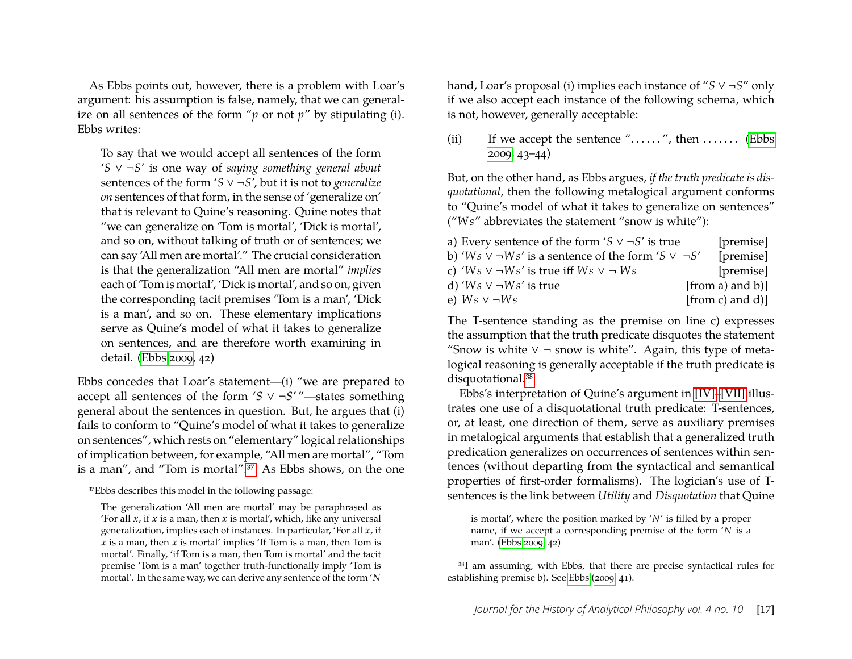As Ebbs points out, however, there is a problem with Loar's argument: his assumption is false, namely, that we can generalize on all sentences of the form "*p* or not *p*" by stipulating (i). Ebbs writes:

To say that we would accept all sentences of the form '*S* ∨ ¬*S*' is one way of *saying something general about* sentences of the form '*S* ∨ ¬*S*', but it is not to *generalize on* sentences of that form, in the sense of 'generalize on' that is relevant to Quine's reasoning. Quine notes that "we can generalize on 'Tom is mortal', 'Dick is mortal', and so on, without talking of truth or of sentences; we can say 'All men are mortal'." The crucial consideration is that the generalization "All men are mortal" *implies* each of 'Tom is mortal', 'Dick is mortal', and so on, given the corresponding tacit premises 'Tom is a man', 'Dick is a man', and so on. These elementary implications serve as Quine's model of what it takes to generalize on sentences, and are therefore worth examining in detail. [\(Ebbs 2009,](#page-23-14) 42)

Ebbs concedes that Loar's statement—(i) "we are prepared to accept all sentences of the form '*S* ∨ ¬*S*' "—states something general about the sentences in question. But, he argues that (i) fails to conform to "Quine's model of what it takes to generalize on sentences", which rests on "elementary" logical relationships of implication between, for example, "All men are mortal", "Tom is a man", and "Tom is mortal"[.37](#page-17-0) As Ebbs shows, on the one hand, Loar's proposal (i) implies each instance of "*S* ∨ ¬*S*" only if we also accept each instance of the following schema, which is not, however, generally acceptable:

(ii) If we accept the sentence "......", then ....... [\(Ebbs](#page-23-14) [2009,](#page-23-14) 43–44)

But, on the other hand, as Ebbs argues, *if the truth predicate is disquotational*, then the following metalogical argument conforms to "Quine's model of what it takes to generalize on sentences" ("*W s*" abbreviates the statement "snow is white"):

| a) Every sentence of the form 'S $\vee \neg S'$ is true            | [premise]           |
|--------------------------------------------------------------------|---------------------|
| b) 'Ws $\vee \neg Ws'$ is a sentence of the form 'S $\vee \neg S'$ | [premise]           |
| c) 'Ws $\vee \neg Ws'$ is true iff $Ws \vee \neg Ws$               | [premise]           |
| d) ' $Ws \vee \neg Ws'$ is true                                    | [from a) and $b$ ]] |
| e) $Ws \vee \neg Ws$                                               | [from c) and $d$ ]] |

The T-sentence standing as the premise on line c) expresses the assumption that the truth predicate disquotes the statement "Snow is white  $\vee$  ¬ snow is white". Again, this type of metalogical reasoning is generally acceptable if the truth predicate is disquotational.<sup>38</sup>

Ebbs's interpretation of Quine's argument in [\[IV\]–](#page-9-2)[\[VII\]](#page-16-3) illustrates one use of a disquotational truth predicate: T-sentences, or, at least, one direction of them, serve as auxiliary premises in metalogical arguments that establish that a generalized truth predication generalizes on occurrences of sentences within sentences (without departing from the syntactical and semantical properties of first-order formalisms). The logician's use of Tsentences is the link between *Utility* and *Disquotation* that Quine

<span id="page-17-0"></span><sup>37</sup>Ebbs describes this model in the following passage:

The generalization 'All men are mortal' may be paraphrased as 'For all  $x$ , if  $x$  is a man, then  $x$  is mortal', which, like any universal generalization, implies each of instances. In particular, 'For all *x*, if *x* is a man, then *x* is mortal' implies 'If Tom is a man, then Tom is mortal'. Finally, 'if Tom is a man, then Tom is mortal' and the tacit premise 'Tom is a man' together truth-functionally imply 'Tom is mortal'. In the same way, we can derive any sentence of the form '*N*

is mortal', where the position marked by '*N*' is filled by a proper name, if we accept a corresponding premise of the form '*N* is a man'. [\(Ebbs 2009,](#page-23-14) 42)

<span id="page-17-1"></span><sup>38</sup>I am assuming, with Ebbs, that there are precise syntactical rules for establishing premise b). See [Ebbs](#page-23-14) [\(2009,](#page-23-14) 41).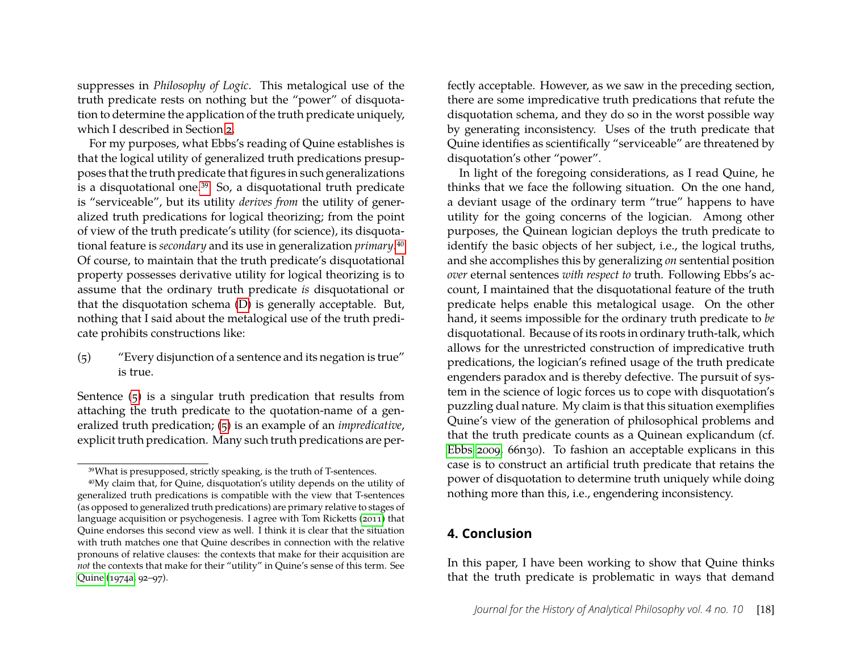suppresses in *Philosophy of Logic*. This metalogical use of the truth predicate rests on nothing but the "power" of disquotation to determine the application of the truth predicate uniquely, which I described in Section [2.](#page-3-0)

For my purposes, what Ebbs's reading of Quine establishes is that the logical utility of generalized truth predications presupposes that the truth predicate that figures in such generalizations is a disquotational one[.39](#page-18-0) So, a disquotational truth predicate is "serviceable", but its utility *derives from* the utility of generalized truth predications for logical theorizing; from the point of view of the truth predicate's utility (for science), its disquotational feature is *secondary* and its use in generalization *primary*[.40](#page-18-1) Of course, to maintain that the truth predicate's disquotational property possesses derivative utility for logical theorizing is to assume that the ordinary truth predicate *is* disquotational or that the disquotation schema [\(D\)](#page-3-2) is generally acceptable. But, nothing that I said about the metalogical use of the truth predicate prohibits constructions like:

<span id="page-18-3"></span><span id="page-18-2"></span>(5) "Every disjunction of a sentence and its negation is true" is true.

Sentence [\(5\)](#page-18-2) is a singular truth predication that results from attaching the truth predicate to the quotation-name of a generalized truth predication; [\(5\)](#page-18-2) is an example of an *impredicative*, explicit truth predication. Many such truth predications are perfectly acceptable. However, as we saw in the preceding section, there are some impredicative truth predications that refute the disquotation schema, and they do so in the worst possible way by generating inconsistency. Uses of the truth predicate that Quine identifies as scientifically "serviceable" are threatened by disquotation's other "power".

In light of the foregoing considerations, as I read Quine, he thinks that we face the following situation. On the one hand, a deviant usage of the ordinary term "true" happens to have utility for the going concerns of the logician. Among other purposes, the Quinean logician deploys the truth predicate to identify the basic objects of her subject, i.e., the logical truths, and she accomplishes this by generalizing *on* sentential position *over* eternal sentences *with respect to* truth. Following Ebbs's account, I maintained that the disquotational feature of the truth predicate helps enable this metalogical usage. On the other hand, it seems impossible for the ordinary truth predicate to *be* disquotational. Because of its roots in ordinary truth-talk, which allows for the unrestricted construction of impredicative truth predications, the logician's refined usage of the truth predicate engenders paradox and is thereby defective. The pursuit of system in the science of logic forces us to cope with disquotation's puzzling dual nature. My claim is that this situation exemplifies Quine's view of the generation of philosophical problems and that the truth predicate counts as a Quinean explicandum (cf. [Ebbs 2009,](#page-23-14) 66n30). To fashion an acceptable explicans in this case is to construct an artificial truth predicate that retains the power of disquotation to determine truth uniquely while doing nothing more than this, i.e., engendering inconsistency.

#### **4. Conclusion**

In this paper, I have been working to show that Quine thinks that the truth predicate is problematic in ways that demand

<span id="page-18-1"></span><span id="page-18-0"></span><sup>39</sup>What is presupposed, strictly speaking, is the truth of T-sentences.

<sup>40</sup>My claim that, for Quine, disquotation's utility depends on the utility of generalized truth predications is compatible with the view that T-sentences (as opposed to generalized truth predications) are primary relative to stages of language acquisition or psychogenesis. I agree with Tom Ricketts [\(2011\)](#page-25-24) that Quine endorses this second view as well. I think it is clear that the situation with truth matches one that Quine describes in connection with the relative pronouns of relative clauses: the contexts that make for their acquisition are *not* the contexts that make for their "utility" in Quine's sense of this term. See [Quine](#page-24-10) [\(1974a,](#page-24-10) 92–97).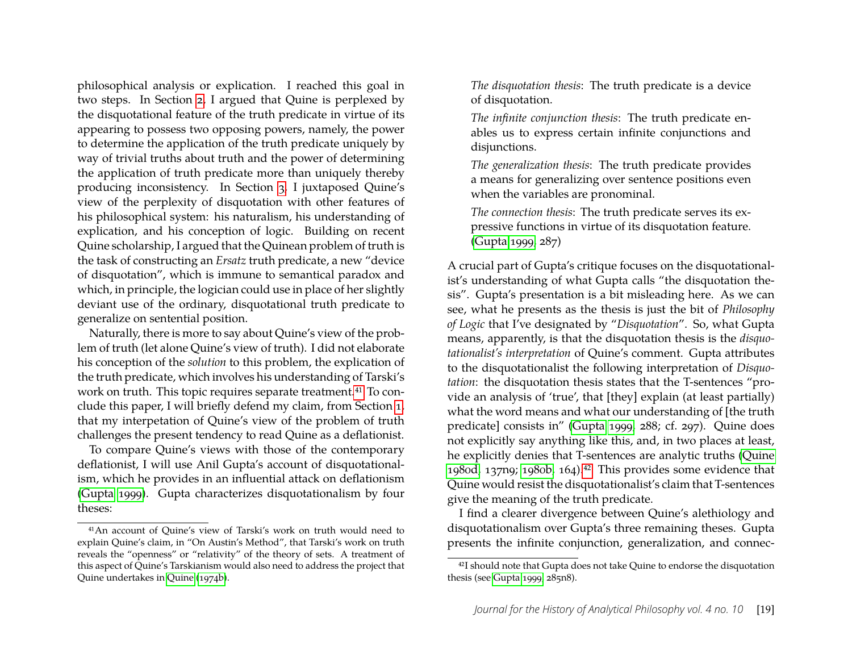philosophical analysis or explication. I reached this goal in two steps. In Section [2,](#page-3-0) I argued that Quine is perplexed by the disquotational feature of the truth predicate in virtue of its appearing to possess two opposing powers, namely, the power to determine the application of the truth predicate uniquely by way of trivial truths about truth and the power of determining the application of truth predicate more than uniquely thereby producing inconsistency. In Section [3,](#page-9-0) I juxtaposed Quine's view of the perplexity of disquotation with other features of his philosophical system: his naturalism, his understanding of explication, and his conception of logic. Building on recent Quine scholarship, I argued that the Quinean problem of truth is the task of constructing an *Ersatz* truth predicate, a new "device of disquotation", which is immune to semantical paradox and which, in principle, the logician could use in place of her slightly deviant use of the ordinary, disquotational truth predicate to generalize on sentential position.

Naturally, there is more to say about Quine's view of the problem of truth (let alone Quine's view of truth). I did not elaborate his conception of the *solution* to this problem, the explication of the truth predicate, which involves his understanding of Tarski's work on truth. This topic requires separate treatment.<sup>41</sup> To conclude this paper, I will briefly defend my claim, from Section [1,](#page-1-5) that my interpetation of Quine's view of the problem of truth challenges the present tendency to read Quine as a deflationist.

To compare Quine's views with those of the contemporary deflationist, I will use Anil Gupta's account of disquotationalism, which he provides in an influential attack on deflationism [\(Gupta 1999\)](#page-24-23). Gupta characterizes disquotationalism by four theses:

*The disquotation thesis*: The truth predicate is a device of disquotation.

*The infinite conjunction thesis*: The truth predicate enables us to express certain infinite conjunctions and disjunctions.

*The generalization thesis*: The truth predicate provides a means for generalizing over sentence positions even when the variables are pronominal.

*The connection thesis*: The truth predicate serves its expressive functions in virtue of its disquotation feature. [\(Gupta 1999,](#page-24-23) 287)

A crucial part of Gupta's critique focuses on the disquotationalist's understanding of what Gupta calls "the disquotation thesis". Gupta's presentation is a bit misleading here. As we can see, what he presents as the thesis is just the bit of *Philosophy of Logic* that I've designated by "*Disquotation*". So, what Gupta means, apparently, is that the disquotation thesis is the *disquotationalist's interpretation* of Quine's comment. Gupta attributes to the disquotationalist the following interpretation of *Disquotation*: the disquotation thesis states that the T-sentences "provide an analysis of 'true', that [they] explain (at least partially) what the word means and what our understanding of [the truth predicate] consists in" [\(Gupta 1999,](#page-24-23) 288; cf. 297). Quine does not explicitly say anything like this, and, in two places at least, he explicitly denies that T-sentences are analytic truths [\(Quine](#page-25-11) [1980d,](#page-25-11) 137n9; [1980b,](#page-25-25) 164)[.42](#page-19-1) This provides some evidence that Quine would resist the disquotationalist's claim that T-sentences give the meaning of the truth predicate.

I find a clearer divergence between Quine's alethiology and disquotationalism over Gupta's three remaining theses. Gupta presents the infinite conjunction, generalization, and connec-

<span id="page-19-0"></span><sup>41</sup>An account of Quine's view of Tarski's work on truth would need to explain Quine's claim, in "On Austin's Method", that Tarski's work on truth reveals the "openness" or "relativity" of the theory of sets. A treatment of this aspect of Quine's Tarskianism would also need to address the project that Quine undertakes in [Quine](#page-24-24) [\(1974b\)](#page-24-24).

<span id="page-19-1"></span><sup>42</sup>I should note that Gupta does not take Quine to endorse the disquotation thesis (see [Gupta 1999,](#page-24-23) 285n8).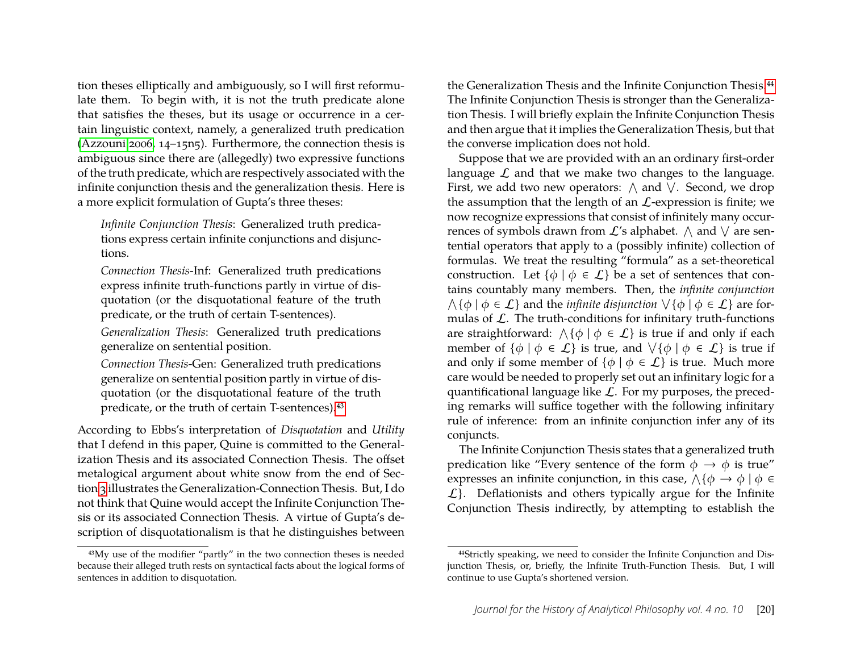tion theses elliptically and ambiguously, so I will first reformulate them. To begin with, it is not the truth predicate alone that satisfies the theses, but its usage or occurrence in a certain linguistic context, namely, a generalized truth predication [\(Azzouni 2006,](#page-23-16) 14–15n5). Furthermore, the connection thesis is ambiguous since there are (allegedly) two expressive functions of the truth predicate, which are respectively associated with the infinite conjunction thesis and the generalization thesis. Here is a more explicit formulation of Gupta's three theses:

*Infinite Conjunction Thesis*: Generalized truth predications express certain infinite conjunctions and disjunctions.

*Connection Thesis*-Inf: Generalized truth predications express infinite truth-functions partly in virtue of disquotation (or the disquotational feature of the truth predicate, or the truth of certain T-sentences).

*Generalization Thesis*: Generalized truth predications generalize on sentential position.

*Connection Thesis*-Gen: Generalized truth predications generalize on sentential position partly in virtue of disquotation (or the disquotational feature of the truth predicate, or the truth of certain T-sentences)[.43](#page-20-0)

According to Ebbs's interpretation of *Disquotation* and *Utility* that I defend in this paper, Quine is committed to the Generalization Thesis and its associated Connection Thesis. The offset metalogical argument about white snow from the end of Section [3](#page-9-0) illustrates the Generalization-Connection Thesis. But, I do not think that Quine would accept the Infinite Conjunction Thesis or its associated Connection Thesis. A virtue of Gupta's description of disquotationalism is that he distinguishes between the Generalization Thesis and the Infinite Conjunction Thesis.<sup>44</sup> The Infinite Conjunction Thesis is stronger than the Generalization Thesis. I will briefly explain the Infinite Conjunction Thesis and then argue that it implies the Generalization Thesis, but that the converse implication does not hold.

Suppose that we are provided with an an ordinary first-order language  $\mathcal L$  and that we make two changes to the language. First, we add two new operators:  $\wedge$  and  $\vee$ . Second, we drop the assumption that the length of an  $\mathcal{L}$ -expression is finite; we now recognize expressions that consist of infinitely many occurrences of symbols drawn from  $\mathcal{L}'$ s alphabet.  $\wedge$  and  $\vee$  are sentential operators that apply to a (possibly infinite) collection of formulas. We treat the resulting "formula" as a set-theoretical construction. Let  $\{\phi \mid \phi \in \mathcal{L}\}$  be a set of sentences that contains countably many members. Then, the *infinite conjunction*  $\wedge$ { $\phi$  |  $\phi \in \mathcal{L}$ } and the *infinite disjunction*  $\vee$ { $\phi$  |  $\phi \in \mathcal{L}$ } are formulas of  $\mathcal L$ . The truth-conditions for infinitary truth-functions are straightforward:  $\wedge$ { $\phi$  |  $\phi \in \mathcal{L}$ } is true if and only if each member of  $\{\phi \mid \phi \in \mathcal{L}\}$  is true, and  $\forall \{\phi \mid \phi \in \mathcal{L}\}$  is true if and only if some member of  $\{\phi \mid \phi \in \mathcal{L}\}\$ is true. Much more care would be needed to properly set out an infinitary logic for a quantificational language like  $\mathcal{L}$ . For my purposes, the preceding remarks will suffice together with the following infinitary rule of inference: from an infinite conjunction infer any of its conjuncts.

The Infinite Conjunction Thesis states that a generalized truth predication like "Every sentence of the form  $\phi \rightarrow \phi$  is true" expresses an infinite conjunction, in this case,  $\wedge$  { $\phi \rightarrow \phi \mid \phi \in$  $\mathcal{L}$ . Deflationists and others typically argue for the Infinite Conjunction Thesis indirectly, by attempting to establish the

<span id="page-20-0"></span><sup>43</sup>My use of the modifier "partly" in the two connection theses is needed because their alleged truth rests on syntactical facts about the logical forms of sentences in addition to disquotation.

<span id="page-20-1"></span><sup>44</sup>Strictly speaking, we need to consider the Infinite Conjunction and Disjunction Thesis, or, briefly, the Infinite Truth-Function Thesis. But, I will continue to use Gupta's shortened version.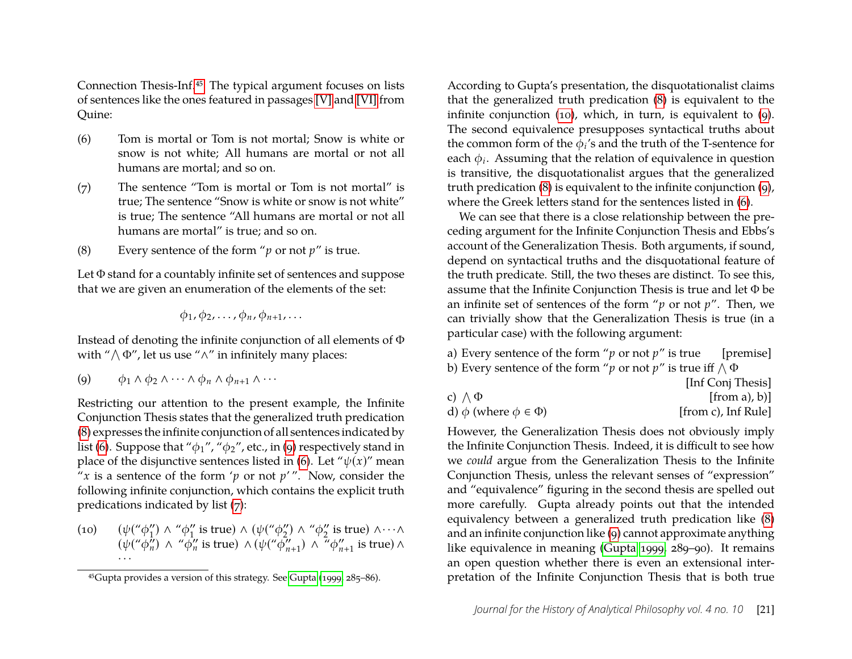Connection Thesis-Inf[.45](#page-21-0) The typical argument focuses on lists of sentences like the ones featured in passages [\[V\]](#page-16-1) and [\[VI\]](#page-16-2) from Quine:

- <span id="page-21-4"></span><span id="page-21-3"></span>(6) Tom is mortal or Tom is not mortal; Snow is white or snow is not white; All humans are mortal or not all humans are mortal; and so on.
- <span id="page-21-8"></span><span id="page-21-7"></span>(7) The sentence "Tom is mortal or Tom is not mortal" is true; The sentence "Snow is white or snow is not white" is true; The sentence "All humans are mortal or not all humans are mortal" is true; and so on.
- <span id="page-21-2"></span><span id="page-21-1"></span>(8) Every sentence of the form "*p* or not *p*" is true.

Let Φ stand for a countably infinite set of sentences and suppose that we are given an enumeration of the elements of the set:

$$
\phi_1, \phi_2, \ldots, \phi_n, \phi_{n+1}, \ldots
$$

Instead of denoting the infinite conjunction of all elements of Φ with " $\wedge \Phi$ ", let us use " $\wedge$ " in infinitely many places:

<span id="page-21-6"></span><span id="page-21-5"></span>
$$
(9) \qquad \phi_1 \wedge \phi_2 \wedge \cdots \wedge \phi_n \wedge \phi_{n+1} \wedge \cdots
$$

Restricting our attention to the present example, the Infinite Conjunction Thesis states that the generalized truth predication [\(8\)](#page-21-1) expresses the infinite conjunction of all sentences indicated by list [\(6\)](#page-21-3). Suppose that " $\phi_1$ ", " $\phi_2$ ", etc., in [\(9\)](#page-21-5) respectively stand in place of the disjunctive sentences listed in [\(6\)](#page-21-3). Let " $\psi(x)$ " mean " $x$  is a sentence of the form ' $p$  or not  $p$ '". Now, consider the following infinite conjunction, which contains the explicit truth predications indicated by list [\(7\)](#page-21-7):

<span id="page-21-10"></span><span id="page-21-9"></span>(10)  $(\psi({}^{\prime\prime}\phi_{1}^{\prime\prime}% ))^{2} = (\psi(\theta_{1}^{\prime\prime}\phi_{2}^{\prime\prime})^{2})^{2}$  $\binom{n}{1}$  Λ "φ"  $\frac{1}{1}$  is true)  $\wedge$  ( $\psi$ (" $\phi_2$ "  $\binom{n}{2}$  Λ "φ"  $\frac{\gamma}{2}$  is true) ∧…∧  $(\psi({}^{\prime\prime}\phi_n^{\prime\prime})$  $\frac{n}{n}$ ) ∧ " $\phi_n$ "  $\frac{m}{n}$  is true)  $\wedge$  ( $\psi$ (" $\phi_n$ "  $\frac{n}{n+1}$ )  $\wedge$   $\frac{n}{n}$  $\phi_n$  $\binom{n}{n+1}$  is true) ∧ · · ·

According to Gupta's presentation, the disquotationalist claims that the generalized truth predication [\(8\)](#page-21-1) is equivalent to the infinite conjunction [\(10\)](#page-21-9), which, in turn, is equivalent to [\(9\)](#page-21-5). The second equivalence presupposes syntactical truths about the common form of the  $\phi_i$ 's and the truth of the T-sentence for each  $\phi_i$ . Assuming that the relation of equivalence in question is transitive, the disquotationalist argues that the generalized truth predication [\(8\)](#page-21-1) is equivalent to the infinite conjunction [\(9\)](#page-21-5), where the Greek letters stand for the sentences listed in [\(6\)](#page-21-3).

We can see that there is a close relationship between the preceding argument for the Infinite Conjunction Thesis and Ebbs's account of the Generalization Thesis. Both arguments, if sound, depend on syntactical truths and the disquotational feature of the truth predicate. Still, the two theses are distinct. To see this, assume that the Infinite Conjunction Thesis is true and let Φ be an infinite set of sentences of the form "*p* or not *p*". Then, we can trivially show that the Generalization Thesis is true (in a particular case) with the following argument:

a) Every sentence of the form " $p$  or not  $p$ " is true [premise] b) Every sentence of the form " $p$  or not  $p$ " is true iff  $\wedge\Phi$  $[L_0 f C_2 \dots]$  Thesis]

|                                    | $\mu$ liil Con $\mu$ Thesis |
|------------------------------------|-----------------------------|
| c) $\wedge \Phi$                   | [from a), b)]               |
| d) $\phi$ (where $\phi \in \Phi$ ) | [from c), Inf Rule]         |

However, the Generalization Thesis does not obviously imply the Infinite Conjunction Thesis. Indeed, it is difficult to see how we *could* argue from the Generalization Thesis to the Infinite Conjunction Thesis, unless the relevant senses of "expression" and "equivalence" figuring in the second thesis are spelled out more carefully. Gupta already points out that the intended equivalency between a generalized truth predication like [\(8\)](#page-21-1) and an infinite conjunction like [\(9\)](#page-21-5) cannot approximate anything like equivalence in meaning [\(Gupta 1999,](#page-24-23) 289–90). It remains an open question whether there is even an extensional interpretation of the Infinite Conjunction Thesis that is both true

<span id="page-21-0"></span><sup>45</sup>Gupta provides a version of this strategy. See [Gupta](#page-24-23) [\(1999,](#page-24-23) 285–86).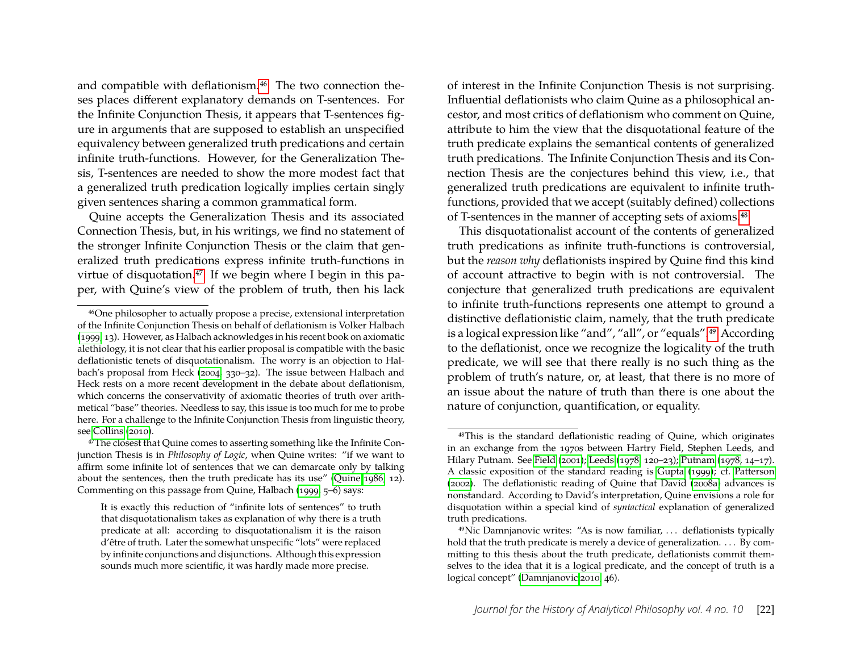and compatible with deflationism.<sup>46</sup> The two connection theses places different explanatory demands on T-sentences. For the Infinite Conjunction Thesis, it appears that T-sentences figure in arguments that are supposed to establish an unspecified equivalency between generalized truth predications and certain infinite truth-functions. However, for the Generalization Thesis, T-sentences are needed to show the more modest fact that a generalized truth predication logically implies certain singly given sentences sharing a common grammatical form.

Quine accepts the Generalization Thesis and its associated Connection Thesis, but, in his writings, we find no statement of the stronger Infinite Conjunction Thesis or the claim that generalized truth predications express infinite truth-functions in virtue of disquotation.<sup>47</sup> If we begin where I begin in this paper, with Quine's view of the problem of truth, then his lack

<span id="page-22-1"></span>47The closest that Quine comes to asserting something like the Infinite Conjunction Thesis is in *Philosophy of Logic*, when Quine writes: "if we want to affirm some infinite lot of sentences that we can demarcate only by talking about the sentences, then the truth predicate has its use" [\(Quine 1986,](#page-25-1) 12). Commenting on this passage from Quine, Halbach [\(1999,](#page-24-25) 5–6) says:

It is exactly this reduction of "infinite lots of sentences" to truth that disquotationalism takes as explanation of why there is a truth predicate at all: according to disquotationalism it is the raison d'être of truth. Later the somewhat unspecific "lots" were replaced by infinite conjunctions and disjunctions. Although this expression sounds much more scientific, it was hardly made more precise.

of interest in the Infinite Conjunction Thesis is not surprising. Influential deflationists who claim Quine as a philosophical ancestor, and most critics of deflationism who comment on Quine, attribute to him the view that the disquotational feature of the truth predicate explains the semantical contents of generalized truth predications. The Infinite Conjunction Thesis and its Connection Thesis are the conjectures behind this view, i.e., that generalized truth predications are equivalent to infinite truthfunctions, provided that we accept (suitably defined) collections of T-sentences in the manner of accepting sets of axioms.<sup>48</sup>

This disquotationalist account of the contents of generalized truth predications as infinite truth-functions is controversial, but the *reason why* deflationists inspired by Quine find this kind of account attractive to begin with is not controversial. The conjecture that generalized truth predications are equivalent to infinite truth-functions represents one attempt to ground a distinctive deflationistic claim, namely, that the truth predicate is a logical expression like "and", "all", or "equals"[.49](#page-22-3) According to the deflationist, once we recognize the logicality of the truth predicate, we will see that there really is no such thing as the problem of truth's nature, or, at least, that there is no more of an issue about the nature of truth than there is one about the nature of conjunction, quantification, or equality.

<span id="page-22-0"></span><sup>46</sup>One philosopher to actually propose a precise, extensional interpretation of the Infinite Conjunction Thesis on behalf of deflationism is Volker Halbach [\(1999,](#page-24-25) 13). However, as Halbach acknowledges in his recent book on axiomatic alethiology, it is not clear that his earlier proposal is compatible with the basic deflationistic tenets of disquotationalism. The worry is an objection to Halbach's proposal from Heck [\(2004,](#page-24-26) 330–32). The issue between Halbach and Heck rests on a more recent development in the debate about deflationism, which concerns the conservativity of axiomatic theories of truth over arithmetical "base" theories. Needless to say, this issue is too much for me to probe here. For a challenge to the Infinite Conjunction Thesis from linguistic theory, see [Collins](#page-23-17) [\(2010\)](#page-23-17).

<span id="page-22-2"></span><sup>48</sup>This is the standard deflationistic reading of Quine, which originates in an exchange from the 1970s between Hartry Field, Stephen Leeds, and Hilary Putnam. See [Field](#page-23-18) [\(2001\)](#page-23-18); [Leeds](#page-24-27) [\(1978,](#page-24-27) 120–23); [Putnam](#page-24-28) [\(1978,](#page-24-28) 14–17). A classic exposition of the standard reading is [Gupta](#page-24-23) [\(1999\)](#page-24-23); cf. [Patterson](#page-24-29) [\(2002\)](#page-24-29). The deflationistic reading of Quine that David [\(2008a\)](#page-23-15) advances is nonstandard. According to David's interpretation, Quine envisions a role for disquotation within a special kind of *syntactical* explanation of generalized truth predications.

<span id="page-22-3"></span><sup>49</sup>Nic Damnjanovic writes: "As is now familiar, . . . deflationists typically hold that the truth predicate is merely a device of generalization. . . . By committing to this thesis about the truth predicate, deflationists commit themselves to the idea that it is a logical predicate, and the concept of truth is a logical concept" [\(Damnjanovic 2010,](#page-23-10) 46).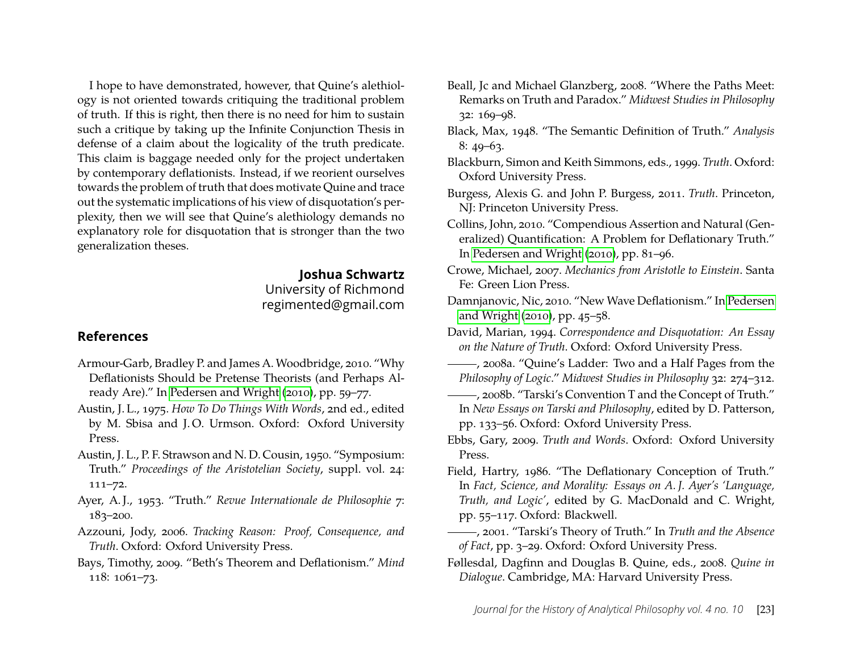I hope to have demonstrated, however, that Quine's alethiology is not oriented towards critiquing the traditional problem of truth. If this is right, then there is no need for him to sustain such a critique by taking up the Infinite Conjunction Thesis in defense of a claim about the logicality of the truth predicate. This claim is baggage needed only for the project undertaken by contemporary deflationists. Instead, if we reorient ourselves towards the problem of truth that does motivate Quine and trace out the systematic implications of his view of disquotation's perplexity, then we will see that Quine's alethiology demands no explanatory role for disquotation that is stronger than the two generalization theses.

#### **Joshua Schwartz**

University of Richmond regimented@gmail.com

#### **References**

- <span id="page-23-7"></span>Armour-Garb, Bradley P. and James A. Woodbridge, 2010. "Why Deflationists Should be Pretense Theorists (and Perhaps Already Are)." In [Pedersen and Wright](#page-24-30) [\(2010\)](#page-24-30), pp. 59–77.
- <span id="page-23-12"></span>Austin, J. L., 1975. *How To Do Things With Words*, 2nd ed., edited by M. Sbisa and J. O. Urmson. Oxford: Oxford University Press.
- <span id="page-23-2"></span>Austin, J. L., P. F. Strawson and N. D. Cousin, 1950. "Symposium: Truth." *Proceedings of the Aristotelian Society*, suppl. vol. 24: 111–72.
- <span id="page-23-0"></span>Ayer, A. J., 1953. "Truth." *Revue Internationale de Philosophie* 7: 183–200.
- <span id="page-23-16"></span>Azzouni, Jody, 2006. *Tracking Reason: Proof, Consequence, and Truth*. Oxford: Oxford University Press.
- <span id="page-23-13"></span>Bays, Timothy, 2009. "Beth's Theorem and Deflationism." *Mind* 118: 1061–73.
- <span id="page-23-9"></span>Beall, Jc and Michael Glanzberg, 2008. "Where the Paths Meet: Remarks on Truth and Paradox." *Midwest Studies in Philosophy* 32: 169–98.
- <span id="page-23-1"></span>Black, Max, 1948. "The Semantic Definition of Truth." *Analysis* 8: 49–63.
- <span id="page-23-6"></span>Blackburn, Simon and Keith Simmons, eds., 1999. *Truth*. Oxford: Oxford University Press.
- <span id="page-23-8"></span>Burgess, Alexis G. and John P. Burgess, 2011. *Truth*. Princeton, NJ: Princeton University Press.
- <span id="page-23-17"></span>Collins, John, 2010. "Compendious Assertion and Natural (Generalized) Quantification: A Problem for Deflationary Truth." In [Pedersen and Wright](#page-24-30) [\(2010\)](#page-24-30), pp. 81–96.
- <span id="page-23-11"></span>Crowe, Michael, 2007. *Mechanics from Aristotle to Einstein*. Santa Fe: Green Lion Press.
- <span id="page-23-10"></span>Damnjanovic, Nic, 2010. "New Wave Deflationism." In [Pedersen](#page-24-30) [and Wright](#page-24-30) [\(2010\)](#page-24-30), pp. 45–58.
- <span id="page-23-5"></span>David, Marian, 1994. *Correspondence and Disquotation: An Essay on the Nature of Truth*. Oxford: Oxford University Press.
- <span id="page-23-15"></span>, 2008a. "Quine's Ladder: Two and a Half Pages from the *Philosophy of Logic*." *Midwest Studies in Philosophy* 32: 274–312.
- <span id="page-23-3"></span>, 2008b. "Tarski's Convention T and the Concept of Truth." In *New Essays on Tarski and Philosophy*, edited by D. Patterson, pp. 133–56. Oxford: Oxford University Press.
- <span id="page-23-14"></span>Ebbs, Gary, 2009. *Truth and Words*. Oxford: Oxford University Press.
- <span id="page-23-4"></span>Field, Hartry, 1986. "The Deflationary Conception of Truth." In *Fact, Science, and Morality: Essays on A. J. Ayer's 'Language, Truth, and Logic'*, edited by G. MacDonald and C. Wright, pp. 55–117. Oxford: Blackwell.
- <span id="page-23-18"></span>, 2001. "Tarski's Theory of Truth." In *Truth and the Absence of Fact*, pp. 3–29. Oxford: Oxford University Press.
- <span id="page-23-19"></span>Føllesdal, Dagfinn and Douglas B. Quine, eds., 2008. *Quine in Dialogue*. Cambridge, MA: Harvard University Press.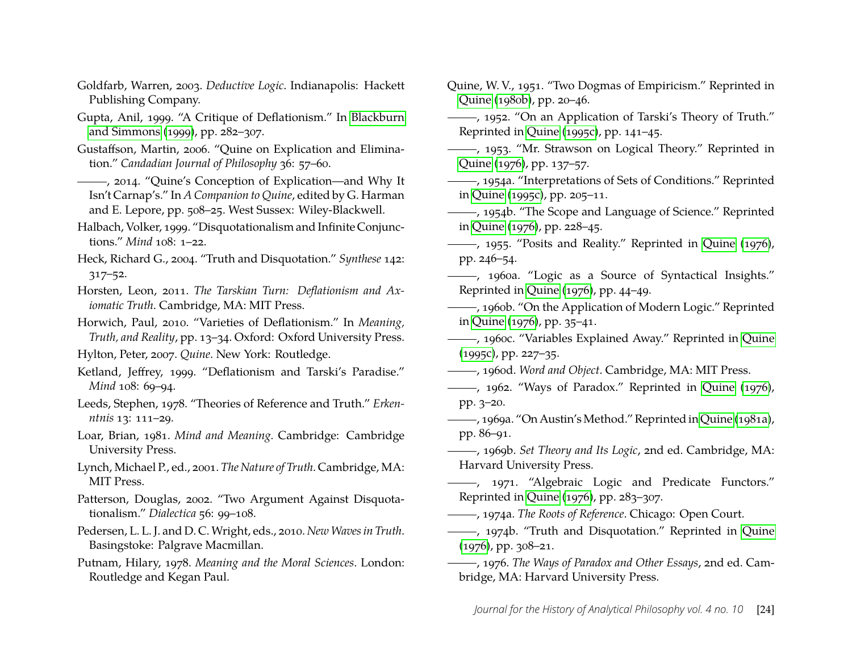- <span id="page-24-20"></span>Goldfarb, Warren, 2003. *Deductive Logic*. Indianapolis: Hackett Publishing Company.
- <span id="page-24-23"></span>Gupta, Anil, 1999. "A Critique of Deflationism." In [Blackburn](#page-23-6) [and Simmons](#page-23-6) [\(1999\)](#page-23-6), pp. 282–307.
- <span id="page-24-17"></span>Gustaffson, Martin, 2006. "Quine on Explication and Elimination." *Candadian Journal of Philosophy* 36: 57–60.
- <span id="page-24-15"></span>, 2014. "Quine's Conception of Explication—and Why It Isn't Carnap's." In *A Companion to Quine*, edited by G. Harman and E. Lepore, pp. 508–25. West Sussex: Wiley-Blackwell.
- <span id="page-24-25"></span>Halbach, Volker, 1999. "Disquotationalism and Infinite Conjunctions." *Mind* 108: 1–22.
- <span id="page-24-26"></span>Heck, Richard G., 2004. "Truth and Disquotation." *Synthese* 142: 317–52.
- <span id="page-24-2"></span>Horsten, Leon, 2011. *The Tarskian Turn: Deflationism and Axiomatic Truth*. Cambridge, MA: MIT Press.
- <span id="page-24-1"></span>Horwich, Paul, 2010. "Varieties of Deflationism." In *Meaning, Truth, and Reality*, pp. 13–34. Oxford: Oxford University Press.
- <span id="page-24-9"></span>Hylton, Peter, 2007. *Quine*. New York: Routledge.
- <span id="page-24-7"></span>Ketland, Jeffrey, 1999. "Deflationism and Tarski's Paradise." *Mind* 108: 69–94.
- <span id="page-24-27"></span>Leeds, Stephen, 1978. "Theories of Reference and Truth." *Erkenntnis* 13: 111–29.
- <span id="page-24-22"></span>Loar, Brian, 1981. *Mind and Meaning.* Cambridge: Cambridge University Press.
- <span id="page-24-0"></span>Lynch, Michael P., ed., 2001. *The Nature of Truth*. Cambridge, MA: MIT Press.
- <span id="page-24-29"></span>Patterson, Douglas, 2002. "Two Argument Against Disquotationalism." *Dialectica* 56: 99–108.
- <span id="page-24-30"></span>Pedersen, L. L. J. and D. C. Wright, eds., 2010. *New Waves in Truth*. Basingstoke: Palgrave Macmillan.
- <span id="page-24-28"></span>Putnam, Hilary, 1978. *Meaning and the Moral Sciences*. London: Routledge and Kegan Paul.
- <span id="page-24-16"></span>Quine, W. V., 1951. "Two Dogmas of Empiricism." Reprinted in [Quine](#page-25-25) [\(1980b\)](#page-25-25), pp. 20–46.
- <span id="page-24-6"></span>, 1952. "On an Application of Tarski's Theory of Truth." Reprinted in [Quine](#page-25-19) [\(1995c\)](#page-25-19), pp. 141–45.
- <span id="page-24-13"></span>(1953) ------, 1953. "Mr. Strawson on Logical Theory." Reprinted in [Quine](#page-24-31) [\(1976\)](#page-24-31), pp. 137–57.
- <span id="page-24-21"></span>, 1954a. "Interpretations of Sets of Conditions." Reprinted in [Quine](#page-25-19) [\(1995c\)](#page-25-19), pp. 205–11.
- <span id="page-24-11"></span>, 1954b. "The Scope and Language of Science." Reprinted in [Quine](#page-24-31) [\(1976\)](#page-24-31), pp. 228–45.
- <span id="page-24-12"></span>, 1955. "Posits and Reality." Reprinted in [Quine](#page-24-31) [\(1976\)](#page-24-31), pp. 246–54.
- <span id="page-24-14"></span>, 1960a. "Logic as a Source of Syntactical Insights." Reprinted in [Quine](#page-24-31) [\(1976\)](#page-24-31), pp. 44–49.
- <span id="page-24-19"></span>, 1960b. "On the Application of Modern Logic." Reprinted in [Quine](#page-24-31) [\(1976\)](#page-24-31), pp. 35–41.
- , 1960c. "Variables Explained Away." Reprinted in [Quine](#page-25-19) [\(1995c\)](#page-25-19), pp. 227–35.
- <span id="page-24-3"></span>, 1960d. *Word and Object*. Cambridge, MA: MIT Press.
- <span id="page-24-8"></span>, 1962. "Ways of Paradox." Reprinted in [Quine](#page-24-31) [\(1976\)](#page-24-31), pp. 3–20.
- <span id="page-24-4"></span>, 1969a. "On Austin'sMethod." Reprinted in [Quine](#page-25-26) [\(1981a\)](#page-25-26), pp. 86–91.
- <span id="page-24-5"></span>, 1969b. *Set Theory and Its Logic*, 2nd ed. Cambridge, MA: Harvard University Press.
- <span id="page-24-18"></span>(1971. "Algebraic Logic and Predicate Functors." Reprinted in [Quine](#page-24-31) [\(1976\)](#page-24-31), pp. 283–307.
- <span id="page-24-10"></span>, 1974a. *The Roots of Reference*. Chicago: Open Court.
- <span id="page-24-24"></span>-, 1974b. "Truth and Disquotation." Reprinted in [Quine](#page-24-31) [\(1976\)](#page-24-31), pp. 308–21.
- <span id="page-24-31"></span>, 1976. *The Ways of Paradox and Other Essays*, 2nd ed. Cambridge, MA: Harvard University Press.